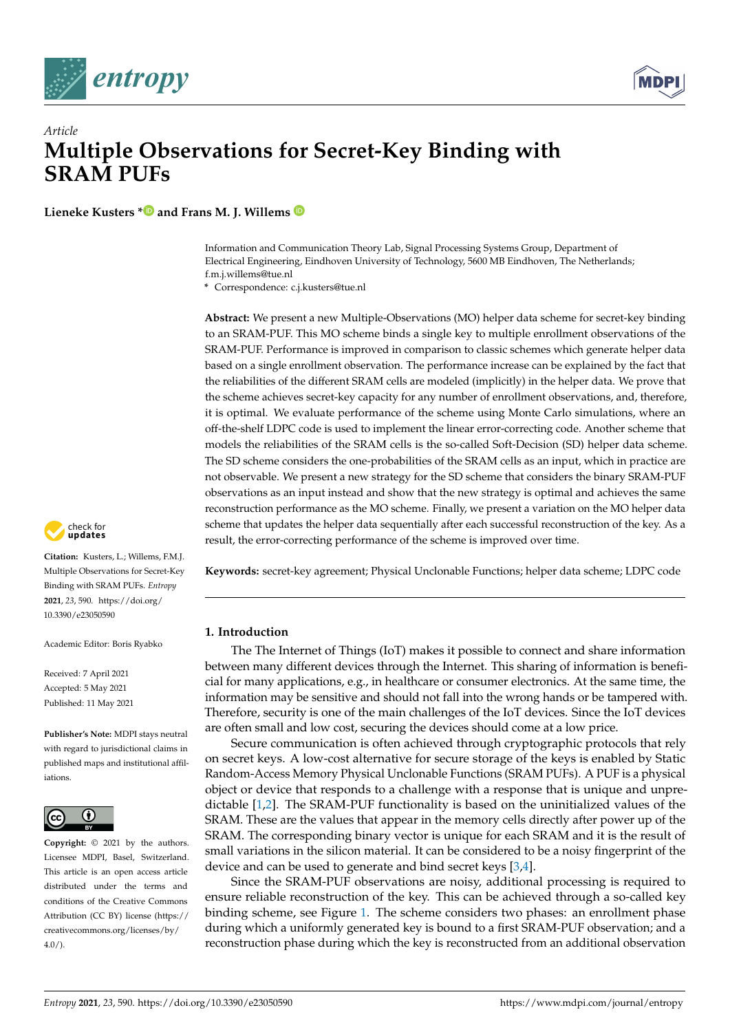



# *Article* **Multiple Observations for Secret-Key Binding with SRAM PUFs**

**Lieneke Kusters [\\*](https://orcid.org/0000-0001-6030-4135) and Frans M. J. Willems**

Information and Communication Theory Lab, Signal Processing Systems Group, Department of Electrical Engineering, Eindhoven University of Technology, 5600 MB Eindhoven, The Netherlands; f.m.j.willems@tue.nl

**\*** Correspondence: c.j.kusters@tue.nl

**Abstract:** We present a new Multiple-Observations (MO) helper data scheme for secret-key binding to an SRAM-PUF. This MO scheme binds a single key to multiple enrollment observations of the SRAM-PUF. Performance is improved in comparison to classic schemes which generate helper data based on a single enrollment observation. The performance increase can be explained by the fact that the reliabilities of the different SRAM cells are modeled (implicitly) in the helper data. We prove that the scheme achieves secret-key capacity for any number of enrollment observations, and, therefore, it is optimal. We evaluate performance of the scheme using Monte Carlo simulations, where an off-the-shelf LDPC code is used to implement the linear error-correcting code. Another scheme that models the reliabilities of the SRAM cells is the so-called Soft-Decision (SD) helper data scheme. The SD scheme considers the one-probabilities of the SRAM cells as an input, which in practice are not observable. We present a new strategy for the SD scheme that considers the binary SRAM-PUF observations as an input instead and show that the new strategy is optimal and achieves the same reconstruction performance as the MO scheme. Finally, we present a variation on the MO helper data scheme that updates the helper data sequentially after each successful reconstruction of the key. As a result, the error-correcting performance of the scheme is improved over time.



# **1. Introduction**

The The Internet of Things (IoT) makes it possible to connect and share information between many different devices through the Internet. This sharing of information is beneficial for many applications, e.g., in healthcare or consumer electronics. At the same time, the information may be sensitive and should not fall into the wrong hands or be tampered with. Therefore, security is one of the main challenges of the IoT devices. Since the IoT devices are often small and low cost, securing the devices should come at a low price.

Secure communication is often achieved through cryptographic protocols that rely on secret keys. A low-cost alternative for secure storage of the keys is enabled by Static Random-Access Memory Physical Unclonable Functions (SRAM PUFs). A PUF is a physical object or device that responds to a challenge with a response that is unique and unpredictable [\[1](#page-19-0)[,2\]](#page-19-1). The SRAM-PUF functionality is based on the uninitialized values of the SRAM. These are the values that appear in the memory cells directly after power up of the SRAM. The corresponding binary vector is unique for each SRAM and it is the result of small variations in the silicon material. It can be considered to be a noisy fingerprint of the device and can be used to generate and bind secret keys [\[3](#page-19-2)[,4\]](#page-19-3).

Since the SRAM-PUF observations are noisy, additional processing is required to ensure reliable reconstruction of the key. This can be achieved through a so-called key binding scheme, see Figure [1.](#page-1-0) The scheme considers two phases: an enrollment phase during which a uniformly generated key is bound to a first SRAM-PUF observation; and a reconstruction phase during which the key is reconstructed from an additional observation



**Citation:** Kusters, L.; Willems, F.M.J. Multiple Observations for Secret-Key Binding with SRAM PUFs. *Entropy* **2021**, *23*, 590. [https://doi.org/](https://doi.org/10.3390/e23050590) [10.3390/e23050590](https://doi.org/10.3390/e23050590)

Academic Editor: Boris Ryabko

Received: 7 April 2021 Accepted: 5 May 2021 Published: 11 May 2021

**Publisher's Note:** MDPI stays neutral with regard to jurisdictional claims in published maps and institutional affiliations.



**Copyright:** © 2021 by the authors. Licensee MDPI, Basel, Switzerland. This article is an open access article distributed under the terms and conditions of the Creative Commons Attribution (CC BY) license (https:/[/](https://creativecommons.org/licenses/by/4.0/) [creativecommons.org/licenses/by/](https://creativecommons.org/licenses/by/4.0/)  $4.0/$ ).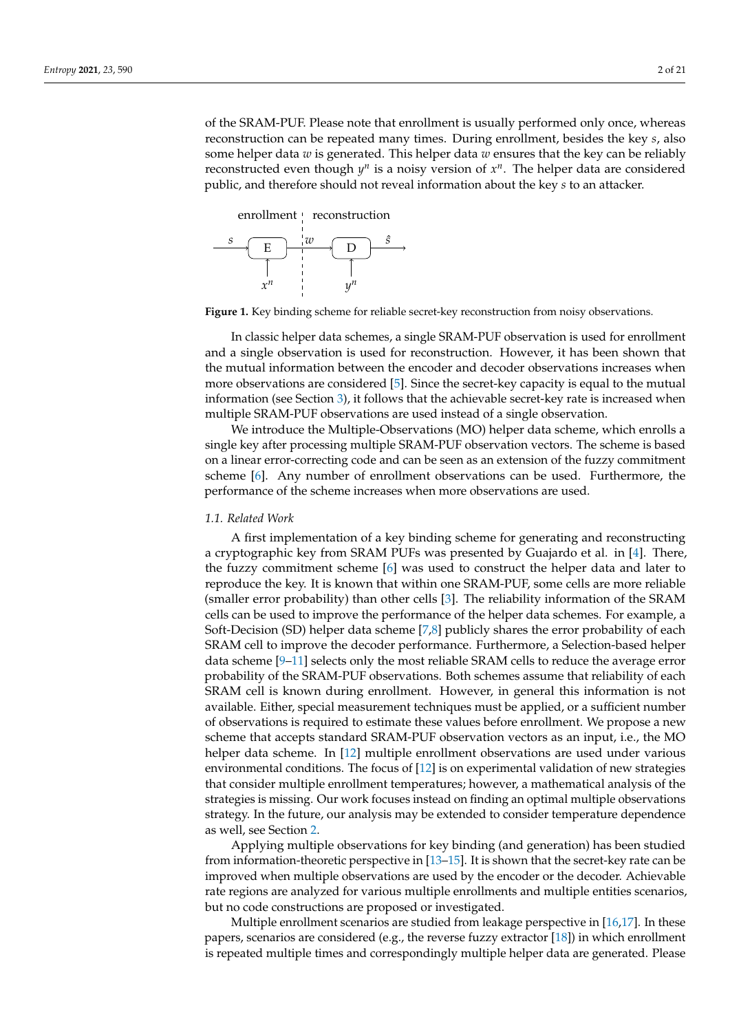of the SRAM-PUF. Please note that enrollment is usually performed only once, whereas reconstruction can be repeated many times. During enrollment, besides the key *s*, also some helper data  $w$  is generated. This helper data  $w$  ensures that the key can be reliably reconstructed even though  $y^n$  is a noisy version of  $x^n$ . The helper data are considered public, and therefore should not reveal information about the key *s* to an attacker.

<span id="page-1-0"></span>

**Figure 1.** Key binding scheme for reliable secret-key reconstruction from noisy observations.

In classic helper data schemes, a single SRAM-PUF observation is used for enrollment and a single observation is used for reconstruction. However, it has been shown that the mutual information between the encoder and decoder observations increases when more observations are considered [\[5\]](#page-19-4). Since the secret-key capacity is equal to the mutual information (see Section [3\)](#page-5-0), it follows that the achievable secret-key rate is increased when multiple SRAM-PUF observations are used instead of a single observation.

We introduce the Multiple-Observations (MO) helper data scheme, which enrolls a single key after processing multiple SRAM-PUF observation vectors. The scheme is based on a linear error-correcting code and can be seen as an extension of the fuzzy commitment scheme [\[6\]](#page-19-5). Any number of enrollment observations can be used. Furthermore, the performance of the scheme increases when more observations are used.

#### *1.1. Related Work*

A first implementation of a key binding scheme for generating and reconstructing a cryptographic key from SRAM PUFs was presented by Guajardo et al. in [\[4\]](#page-19-3). There, the fuzzy commitment scheme [\[6\]](#page-19-5) was used to construct the helper data and later to reproduce the key. It is known that within one SRAM-PUF, some cells are more reliable (smaller error probability) than other cells [\[3\]](#page-19-2). The reliability information of the SRAM cells can be used to improve the performance of the helper data schemes. For example, a Soft-Decision (SD) helper data scheme [\[7,](#page-19-6)[8\]](#page-19-7) publicly shares the error probability of each SRAM cell to improve the decoder performance. Furthermore, a Selection-based helper data scheme [\[9–](#page-19-8)[11\]](#page-19-9) selects only the most reliable SRAM cells to reduce the average error probability of the SRAM-PUF observations. Both schemes assume that reliability of each SRAM cell is known during enrollment. However, in general this information is not available. Either, special measurement techniques must be applied, or a sufficient number of observations is required to estimate these values before enrollment. We propose a new scheme that accepts standard SRAM-PUF observation vectors as an input, i.e., the MO helper data scheme. In [\[12\]](#page-19-10) multiple enrollment observations are used under various environmental conditions. The focus of [\[12\]](#page-19-10) is on experimental validation of new strategies that consider multiple enrollment temperatures; however, a mathematical analysis of the strategies is missing. Our work focuses instead on finding an optimal multiple observations strategy. In the future, our analysis may be extended to consider temperature dependence as well, see Section [2.](#page-2-0)

Applying multiple observations for key binding (and generation) has been studied from information-theoretic perspective in [\[13–](#page-19-11)[15\]](#page-19-12). It is shown that the secret-key rate can be improved when multiple observations are used by the encoder or the decoder. Achievable rate regions are analyzed for various multiple enrollments and multiple entities scenarios, but no code constructions are proposed or investigated.

Multiple enrollment scenarios are studied from leakage perspective in [\[16,](#page-19-13)[17\]](#page-20-0). In these papers, scenarios are considered (e.g., the reverse fuzzy extractor [\[18\]](#page-20-1)) in which enrollment is repeated multiple times and correspondingly multiple helper data are generated. Please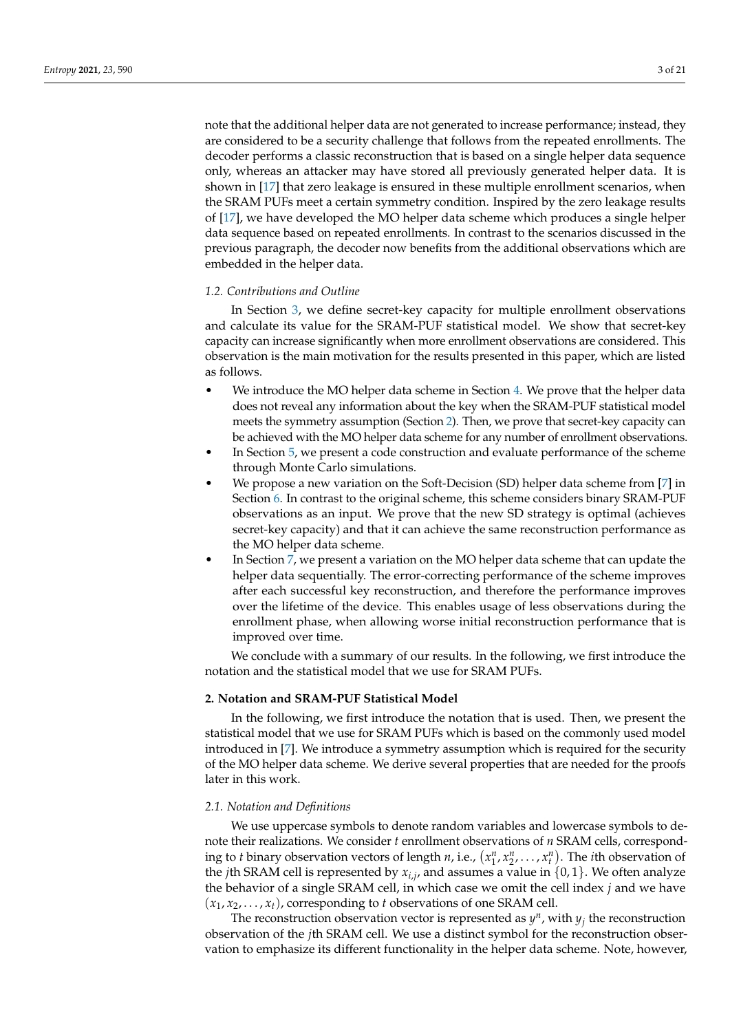note that the additional helper data are not generated to increase performance; instead, they are considered to be a security challenge that follows from the repeated enrollments. The decoder performs a classic reconstruction that is based on a single helper data sequence only, whereas an attacker may have stored all previously generated helper data. It is shown in [\[17\]](#page-20-0) that zero leakage is ensured in these multiple enrollment scenarios, when the SRAM PUFs meet a certain symmetry condition. Inspired by the zero leakage results of [\[17\]](#page-20-0), we have developed the MO helper data scheme which produces a single helper data sequence based on repeated enrollments. In contrast to the scenarios discussed in the previous paragraph, the decoder now benefits from the additional observations which are embedded in the helper data.

#### *1.2. Contributions and Outline*

In Section [3,](#page-5-0) we define secret-key capacity for multiple enrollment observations and calculate its value for the SRAM-PUF statistical model. We show that secret-key capacity can increase significantly when more enrollment observations are considered. This observation is the main motivation for the results presented in this paper, which are listed as follows.

- We introduce the MO helper data scheme in Section [4.](#page-6-0) We prove that the helper data does not reveal any information about the key when the SRAM-PUF statistical model meets the symmetry assumption (Section [2\)](#page-2-0). Then, we prove that secret-key capacity can be achieved with the MO helper data scheme for any number of enrollment observations.
- In Section [5,](#page-8-0) we present a code construction and evaluate performance of the scheme through Monte Carlo simulations.
- We propose a new variation on the Soft-Decision (SD) helper data scheme from [\[7\]](#page-19-6) in Section [6.](#page-10-0) In contrast to the original scheme, this scheme considers binary SRAM-PUF observations as an input. We prove that the new SD strategy is optimal (achieves secret-key capacity) and that it can achieve the same reconstruction performance as the MO helper data scheme.
- In Section [7,](#page-13-0) we present a variation on the MO helper data scheme that can update the helper data sequentially. The error-correcting performance of the scheme improves after each successful key reconstruction, and therefore the performance improves over the lifetime of the device. This enables usage of less observations during the enrollment phase, when allowing worse initial reconstruction performance that is improved over time.

We conclude with a summary of our results. In the following, we first introduce the notation and the statistical model that we use for SRAM PUFs.

## <span id="page-2-0"></span>**2. Notation and SRAM-PUF Statistical Model**

In the following, we first introduce the notation that is used. Then, we present the statistical model that we use for SRAM PUFs which is based on the commonly used model introduced in [\[7\]](#page-19-6). We introduce a symmetry assumption which is required for the security of the MO helper data scheme. We derive several properties that are needed for the proofs later in this work.

#### *2.1. Notation and Definitions*

We use uppercase symbols to denote random variables and lowercase symbols to denote their realizations. We consider *t* enrollment observations of *n* SRAM cells, corresponding to *t* binary observation vectors of length *n*, i.e.,  $(x_1^n, x_2^n, \ldots, x_t^n)$ . The *i*th observation of the *j*th SRAM cell is represented by *xi*,*<sup>j</sup>* , and assumes a value in {0, 1}. We often analyze the behavior of a single SRAM cell, in which case we omit the cell index *j* and we have  $(x_1, x_2, \ldots, x_t)$ , corresponding to *t* observations of one SRAM cell.

The reconstruction observation vector is represented as  $y^n$ , with  $y_j$  the reconstruction observation of the *j*th SRAM cell. We use a distinct symbol for the reconstruction observation to emphasize its different functionality in the helper data scheme. Note, however,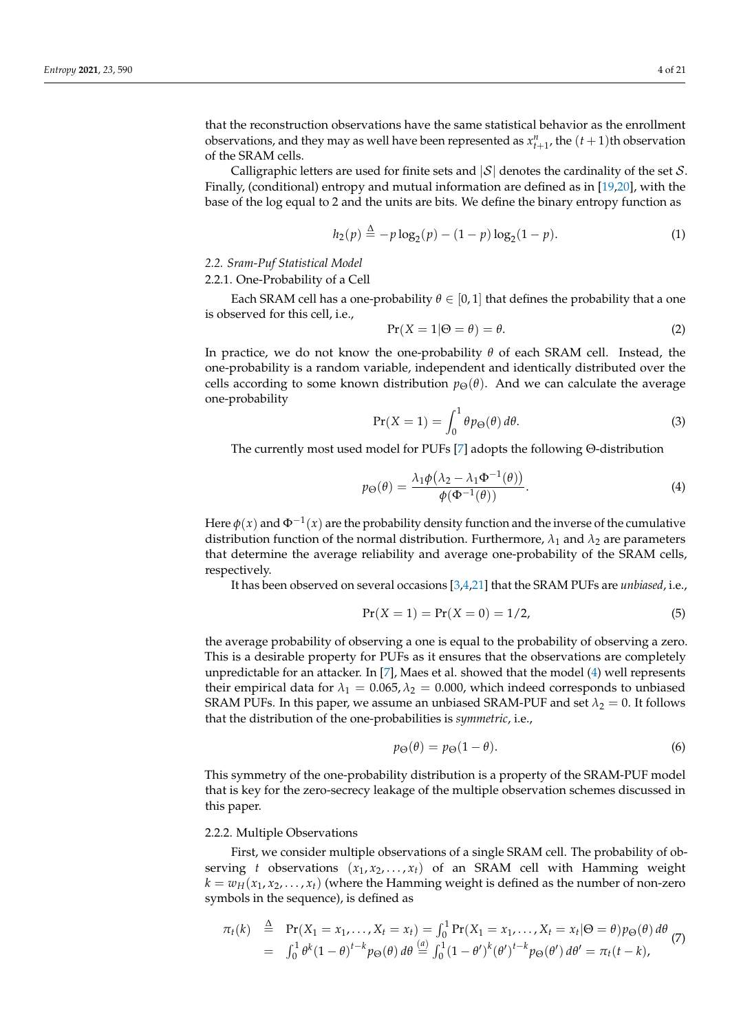that the reconstruction observations have the same statistical behavior as the enrollment observations, and they may as well have been represented as  $x_{t+1}^n$ , the  $(t+1)$ th observation of the SRAM cells.

Calligraphic letters are used for finite sets and  $|S|$  denotes the cardinality of the set S. Finally, (conditional) entropy and mutual information are defined as in [\[19,](#page-20-2)[20\]](#page-20-3), with the base of the log equal to 2 and the units are bits. We define the binary entropy function as

$$
h_2(p) \stackrel{\Delta}{=} -p \log_2(p) - (1-p) \log_2(1-p). \tag{1}
$$

# *2.2. Sram-Puf Statistical Model*

#### 2.2.1. One-Probability of a Cell

Each SRAM cell has a one-probability  $\theta \in [0,1]$  that defines the probability that a one is observed for this cell, i.e.,

$$
Pr(X = 1 | \Theta = \theta) = \theta.
$$
 (2)

In practice, we do not know the one-probability *θ* of each SRAM cell. Instead, the one-probability is a random variable, independent and identically distributed over the cells according to some known distribution  $p_{\Theta}(\theta)$ . And we can calculate the average one-probability

$$
\Pr(X=1) = \int_0^1 \theta p_{\Theta}(\theta) \, d\theta. \tag{3}
$$

The currently most used model for PUFs [\[7\]](#page-19-6) adopts the following Θ-distribution

<span id="page-3-0"></span>
$$
p_{\Theta}(\theta) = \frac{\lambda_1 \phi(\lambda_2 - \lambda_1 \Phi^{-1}(\theta))}{\phi(\Phi^{-1}(\theta))}.
$$
 (4)

Here  $\phi(x)$  and  $\Phi^{-1}(x)$  are the probability density function and the inverse of the cumulative distribution function of the normal distribution. Furthermore,  $\lambda_1$  and  $\lambda_2$  are parameters that determine the average reliability and average one-probability of the SRAM cells, respectively.

It has been observed on several occasions [\[3,](#page-19-2)[4,](#page-19-3)[21\]](#page-20-4) that the SRAM PUFs are *unbiased*, i.e.,

<span id="page-3-3"></span>
$$
Pr(X = 1) = Pr(X = 0) = 1/2,
$$
\n(5)

the average probability of observing a one is equal to the probability of observing a zero. This is a desirable property for PUFs as it ensures that the observations are completely unpredictable for an attacker. In [\[7\]](#page-19-6), Maes et al. showed that the model [\(4\)](#page-3-0) well represents their empirical data for  $\lambda_1 = 0.065$ ,  $\lambda_2 = 0.000$ , which indeed corresponds to unbiased SRAM PUFs. In this paper, we assume an unbiased SRAM-PUF and set  $\lambda_2 = 0$ . It follows that the distribution of the one-probabilities is *symmetric*, i.e.,

<span id="page-3-2"></span><span id="page-3-1"></span>
$$
p_{\Theta}(\theta) = p_{\Theta}(1 - \theta). \tag{6}
$$

This symmetry of the one-probability distribution is a property of the SRAM-PUF model that is key for the zero-secrecy leakage of the multiple observation schemes discussed in this paper.

# 2.2.2. Multiple Observations

First, we consider multiple observations of a single SRAM cell. The probability of observing *t* observations  $(x_1, x_2, \ldots, x_t)$  of an SRAM cell with Hamming weight  $k = w_H(x_1, x_2, \ldots, x_t)$  (where the Hamming weight is defined as the number of non-zero symbols in the sequence), is defined as

$$
\pi_t(k) \stackrel{\Delta}{=} \Pr(X_1 = x_1, ..., X_t = x_t) = \int_0^1 \Pr(X_1 = x_1, ..., X_t = x_t | \Theta = \theta) p_{\Theta}(\theta) d\theta
$$
  
= 
$$
\int_0^1 \theta^k (1 - \theta)^{t-k} p_{\Theta}(\theta) d\theta \stackrel{(a)}{=} \int_0^1 (1 - \theta')^k (\theta')^{t-k} p_{\Theta}(\theta') d\theta' = \pi_t(t - k),
$$
 (7)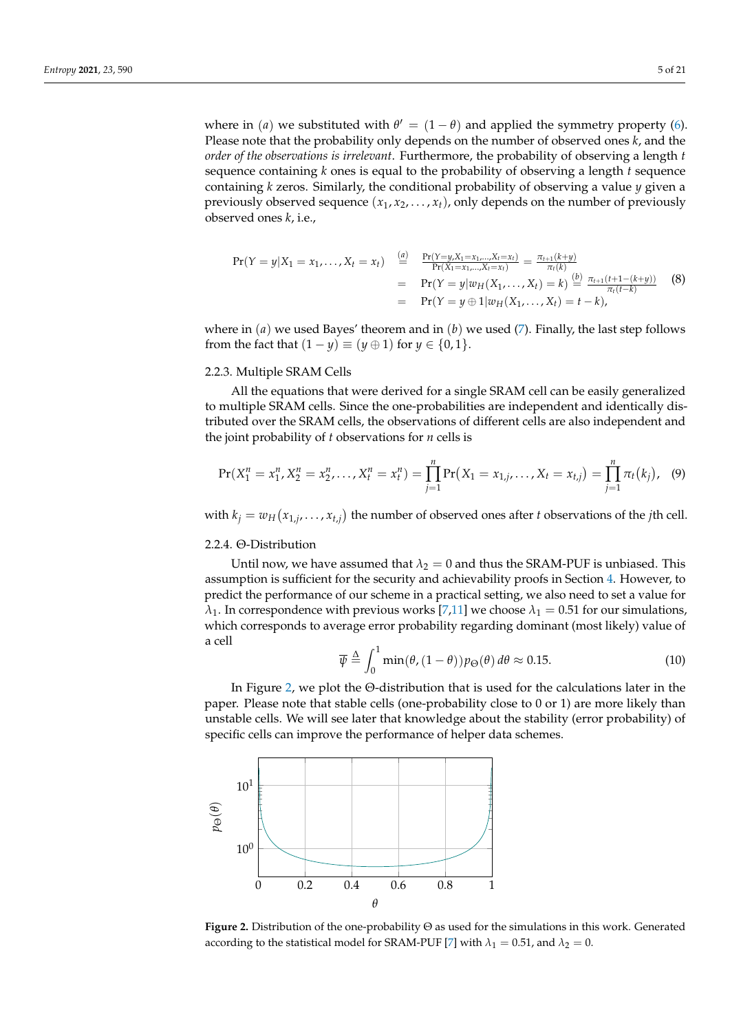where in (*a*) we substituted with  $\theta' = (1 - \theta)$  and applied the symmetry property [\(6\)](#page-3-1). Please note that the probability only depends on the number of observed ones *k*, and the *order of the observations is irrelevant*. Furthermore, the probability of observing a length *t* sequence containing *k* ones is equal to the probability of observing a length *t* sequence containing *k* zeros. Similarly, the conditional probability of observing a value *y* given a previously observed sequence  $(x_1, x_2, \ldots, x_t)$ , only depends on the number of previously observed ones *k*, i.e.,

<span id="page-4-2"></span>
$$
Pr(Y = y | X_1 = x_1, ..., X_t = x_t) \stackrel{(a)}{=} \frac{Pr(Y = y, X_1 = x_1, ..., X_t = x_t)}{Pr(X_1 = x_1, ..., X_t = x_t)} = \frac{\pi_{t+1}(k+y)}{\pi_t(k)}
$$
  
\n
$$
= Pr(Y = y | w_H(X_1, ..., X_t) = k) \stackrel{(b)}{=} \frac{\pi_{t+1}(t+1-(k+y))}{\pi_t(t-k)}
$$
(8)  
\n
$$
= Pr(Y = y \oplus 1 | w_H(X_1, ..., X_t) = t - k),
$$

where in (*a*) we used Bayes' theorem and in (*b*) we used [\(7\)](#page-3-2). Finally, the last step follows from the fact that  $(1 - y) \equiv (y \oplus 1)$  for  $y \in \{0, 1\}$ .

# 2.2.3. Multiple SRAM Cells

All the equations that were derived for a single SRAM cell can be easily generalized to multiple SRAM cells. Since the one-probabilities are independent and identically distributed over the SRAM cells, the observations of different cells are also independent and the joint probability of *t* observations for *n* cells is

$$
\Pr(X_1^n = x_1^n, X_2^n = x_2^n, \dots, X_t^n = x_t^n) = \prod_{j=1}^n \Pr(X_1 = x_{1,j}, \dots, X_t = x_{t,j}) = \prod_{j=1}^n \pi_t(k_j), \quad (9)
$$

with  $k_j = w_H(x_{1,j},...,x_{t,j})$  the number of observed ones after *t* observations of the *j*th cell.

#### 2.2.4. Θ-Distribution

Until now, we have assumed that  $\lambda_2 = 0$  and thus the SRAM-PUF is unbiased. This assumption is sufficient for the security and achievability proofs in Section [4.](#page-6-0) However, to predict the performance of our scheme in a practical setting, we also need to set a value for  $\lambda_1$ . In correspondence with previous works [\[7](#page-19-6)[,11\]](#page-19-9) we choose  $\lambda_1 = 0.51$  for our simulations, which corresponds to average error probability regarding dominant (most likely) value of a cell

<span id="page-4-1"></span>
$$
\overline{\psi} \stackrel{\Delta}{=} \int_0^1 \min(\theta, (1 - \theta)) p_{\Theta}(\theta) d\theta \approx 0.15.
$$
 (10)

In Figure [2,](#page-4-0) we plot the Θ-distribution that is used for the calculations later in the paper. Please note that stable cells (one-probability close to 0 or 1) are more likely than unstable cells. We will see later that knowledge about the stability (error probability) of specific cells can improve the performance of helper data schemes.

<span id="page-4-0"></span>

**Figure 2.** Distribution of the one-probability Θ as used for the simulations in this work. Generated according to the statistical model for SRAM-PUF [\[7\]](#page-19-6) with  $\lambda_1 = 0.51$ , and  $\lambda_2 = 0$ .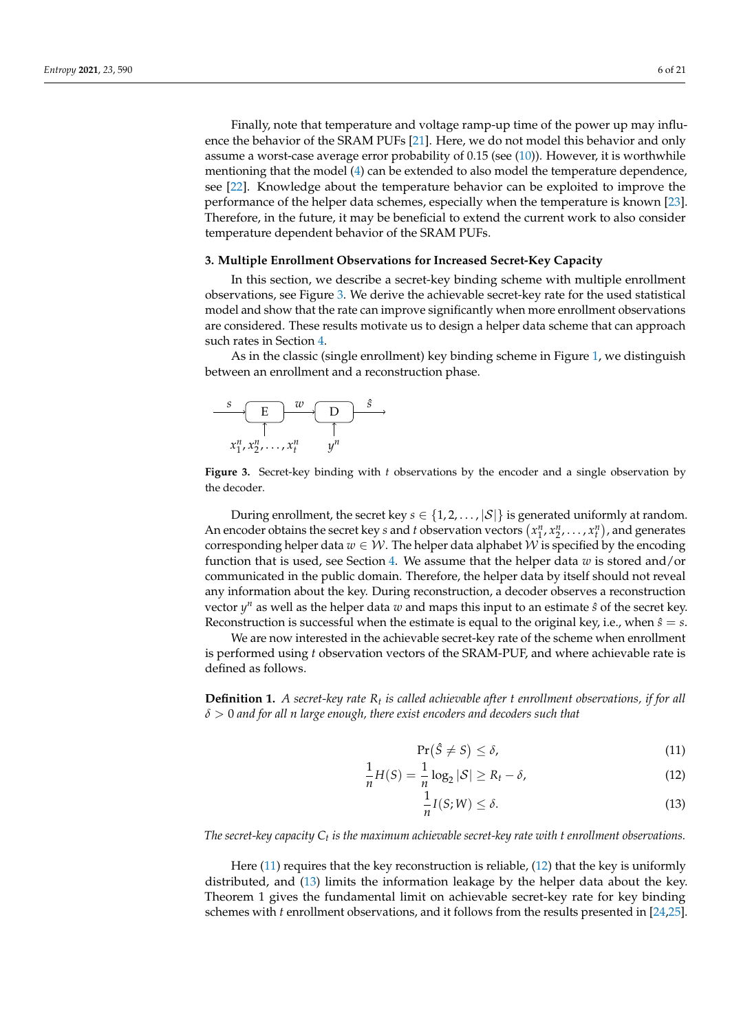Finally, note that temperature and voltage ramp-up time of the power up may influence the behavior of the SRAM PUFs [\[21\]](#page-20-4). Here, we do not model this behavior and only assume a worst-case average error probability of 0.15 (see [\(10\)](#page-4-1)). However, it is worthwhile mentioning that the model [\(4\)](#page-3-0) can be extended to also model the temperature dependence, see [\[22\]](#page-20-5). Knowledge about the temperature behavior can be exploited to improve the performance of the helper data schemes, especially when the temperature is known [\[23\]](#page-20-6). Therefore, in the future, it may be beneficial to extend the current work to also consider temperature dependent behavior of the SRAM PUFs.

# <span id="page-5-0"></span>**3. Multiple Enrollment Observations for Increased Secret-Key Capacity**

In this section, we describe a secret-key binding scheme with multiple enrollment observations, see Figure [3.](#page-5-1) We derive the achievable secret-key rate for the used statistical model and show that the rate can improve significantly when more enrollment observations are considered. These results motivate us to design a helper data scheme that can approach such rates in Section [4.](#page-6-0)

As in the classic (single enrollment) key binding scheme in Figure [1,](#page-1-0) we distinguish between an enrollment and a reconstruction phase.

<span id="page-5-1"></span>

**Figure 3.** Secret-key binding with *t* observations by the encoder and a single observation by the decoder.

During enrollment, the secret key  $s \in \{1, 2, \ldots, |\mathcal{S}|\}$  is generated uniformly at random. An encoder obtains the secret key *s* and *t* observation vectors  $(x_1^n, x_2^n, \ldots, x_t^n)$ , and generates corresponding helper data  $w \in \mathcal{W}$ . The helper data alphabet W is specified by the encoding function that is used, see Section [4.](#page-6-0) We assume that the helper data *w* is stored and/or communicated in the public domain. Therefore, the helper data by itself should not reveal any information about the key. During reconstruction, a decoder observes a reconstruction vector  $y^n$  as well as the helper data *w* and maps this input to an estimate  $\hat{s}$  of the secret key. Reconstruction is successful when the estimate is equal to the original key, i.e., when  $\hat{s} = s$ .

We are now interested in the achievable secret-key rate of the scheme when enrollment is performed using *t* observation vectors of the SRAM-PUF, and where achievable rate is defined as follows.

<span id="page-5-5"></span>**Definition 1.** *A secret-key rate R<sup>t</sup> is called achievable after t enrollment observations, if for all δ* > 0 *and for all n large enough, there exist encoders and decoders such that*

$$
\Pr(\hat{S} \neq S) \le \delta,\tag{11}
$$

$$
\frac{1}{n}H(S) = \frac{1}{n}\log_2|S| \ge R_t - \delta,\tag{12}
$$

<span id="page-5-4"></span><span id="page-5-3"></span><span id="page-5-2"></span>
$$
\frac{1}{n}I(S;W) \le \delta. \tag{13}
$$

*The secret-key capacity C<sup>t</sup> is the maximum achievable secret-key rate with t enrollment observations.*

Here  $(11)$  requires that the key reconstruction is reliable,  $(12)$  that the key is uniformly distributed, and [\(13\)](#page-5-4) limits the information leakage by the helper data about the key. Theorem 1 gives the fundamental limit on achievable secret-key rate for key binding schemes with *t* enrollment observations, and it follows from the results presented in [\[24](#page-20-7)[,25\]](#page-20-8).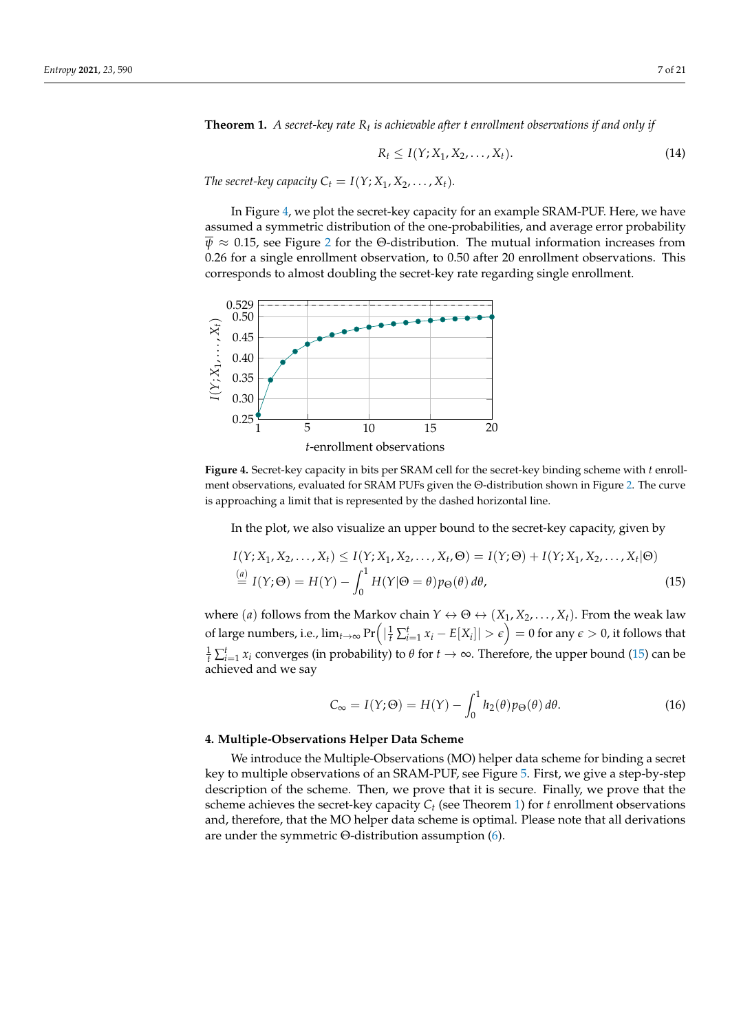<span id="page-6-3"></span>**Theorem 1.** *A secret-key rate R<sup>t</sup> is achievable after t enrollment observations if and only if*

$$
R_t \le I(Y; X_1, X_2, \dots, X_t). \tag{14}
$$

*The secret-key capacity*  $C_t = I(Y; X_1, X_2, \ldots, X_t)$ .

In Figure [4,](#page-6-1) we plot the secret-key capacity for an example SRAM-PUF. Here, we have assumed a symmetric distribution of the one-probabilities, and average error probability  $\bar{\psi} \approx 0.15$ , see Figure [2](#page-4-0) for the Θ-distribution. The mutual information increases from 0.26 for a single enrollment observation, to 0.50 after 20 enrollment observations. This corresponds to almost doubling the secret-key rate regarding single enrollment.

<span id="page-6-1"></span>

**Figure 4.** Secret-key capacity in bits per SRAM cell for the secret-key binding scheme with *t* enrollment observations, evaluated for SRAM PUFs given the Θ-distribution shown in Figure [2.](#page-4-0) The curve is approaching a limit that is represented by the dashed horizontal line.

In the plot, we also visualize an upper bound to the secret-key capacity, given by

$$
I(Y; X_1, X_2, \dots, X_t) \le I(Y; X_1, X_2, \dots, X_t, \Theta) = I(Y; \Theta) + I(Y; X_1, X_2, \dots, X_t | \Theta)
$$
  
\n
$$
\stackrel{(a)}{=} I(Y; \Theta) = H(Y) - \int_0^1 H(Y | \Theta = \theta) p_{\Theta}(\theta) d\theta,
$$
\n(15)

where (*a*) follows from the Markov chain  $Y \leftrightarrow \Theta \leftrightarrow (X_1, X_2, \ldots, X_t)$ . From the weak law of large numbers, i.e.,  $\lim_{t\to\infty}\Pr\Bigl(\big|\frac{1}{t}\sum_{i=1}^t x_i - E[X_i]\big|>\epsilon\Bigr) = 0$  for any  $\epsilon>0$ , it follows that  $\frac{1}{t}\sum_{i=1}^t x_i$  converges (in probability) to  $\theta$  for  $t\to\infty$ . Therefore, the upper bound [\(15\)](#page-6-2) can be achieved and we say

<span id="page-6-4"></span><span id="page-6-2"></span>
$$
C_{\infty} = I(Y; \Theta) = H(Y) - \int_0^1 h_2(\theta) p_{\Theta}(\theta) d\theta.
$$
 (16)

# <span id="page-6-0"></span>**4. Multiple-Observations Helper Data Scheme**

We introduce the Multiple-Observations (MO) helper data scheme for binding a secret key to multiple observations of an SRAM-PUF, see Figure [5.](#page-7-0) First, we give a step-by-step description of the scheme. Then, we prove that it is secure. Finally, we prove that the scheme achieves the secret-key capacity *C<sup>t</sup>* (see Theorem [1\)](#page-6-3) for *t* enrollment observations and, therefore, that the MO helper data scheme is optimal. Please note that all derivations are under the symmetric Θ-distribution assumption [\(6\)](#page-3-1).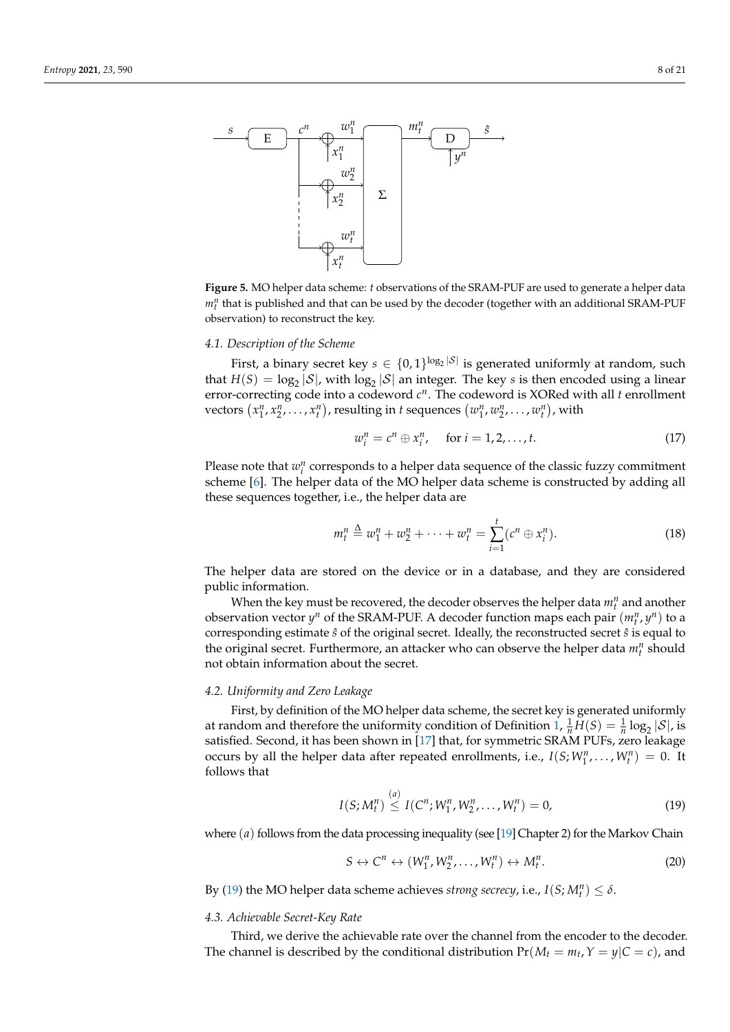<span id="page-7-0"></span>

**Figure 5.** MO helper data scheme: *t* observations of the SRAM-PUF are used to generate a helper data  $m_t^n$  that is published and that can be used by the decoder (together with an additional SRAM-PUF observation) to reconstruct the key.

# *4.1. Description of the Scheme*

First, a binary secret key  $s \in \{0,1\}^{\log_2 |\mathcal{S}|}$  is generated uniformly at random, such that  $H(S) = \log_2 |\mathcal{S}|$ , with  $\log_2 |\mathcal{S}|$  an integer. The key *s* is then encoded using a linear error-correcting code into a codeword  $c^n$ . The codeword is XORed with all *t* enrollment vectors  $(x_1^n, x_2^n, \ldots, x_t^n)$ , resulting in *t* sequences  $(w_1^n, w_2^n, \ldots, w_t^n)$ , with

<span id="page-7-2"></span>
$$
w_i^n = c^n \oplus x_i^n, \quad \text{for } i = 1, 2, \dots, t. \tag{17}
$$

Please note that  $w_i^n$  corresponds to a helper data sequence of the classic fuzzy commitment scheme [\[6\]](#page-19-5). The helper data of the MO helper data scheme is constructed by adding all these sequences together, i.e., the helper data are

$$
m_t^n \stackrel{\Delta}{=} w_1^n + w_2^n + \dots + w_t^n = \sum_{i=1}^t (c^n \oplus x_i^n). \tag{18}
$$

The helper data are stored on the device or in a database, and they are considered public information.

When the key must be recovered, the decoder observes the helper data  $m_t^n$  and another observation vector  $y^n$  of the SRAM-PUF. A decoder function maps each pair  $(m_t^n, y^n)$  to a corresponding estimate *s*ˆ of the original secret. Ideally, the reconstructed secret *s*ˆ is equal to the original secret. Furthermore, an attacker who can observe the helper data *m<sup>n</sup> t* should not obtain information about the secret.

# <span id="page-7-3"></span>*4.2. Uniformity and Zero Leakage*

First, by definition of the MO helper data scheme, the secret key is generated uniformly at random and therefore the uniformity condition of Definition [1,](#page-5-5)  $\frac{1}{n}H(S) = \frac{1}{n} \log_2 |S|$ , is satisfied. Second, it has been shown in [\[17\]](#page-20-0) that, for symmetric SRAM PUFs, zero leakage occurs by all the helper data after repeated enrollments, i.e.,  $I(S; W_1^n, \ldots, W_t^n) = 0$ . It follows that

<span id="page-7-1"></span>
$$
I(S; M_t^n) \stackrel{(a)}{\leq} I(C^n; W_1^n, W_2^n, \dots, W_t^n) = 0,
$$
\n(19)

where  $(a)$  follows from the data processing inequality (see [\[19\]](#page-20-2) Chapter 2) for the Markov Chain

<span id="page-7-5"></span>
$$
S \leftrightarrow C^n \leftrightarrow (W_1^n, W_2^n, \dots, W_t^n) \leftrightarrow M_t^n. \tag{20}
$$

By [\(19\)](#page-7-1) the MO helper data scheme achieves *strong secrecy*, i.e.,  $I(S; M_t^n) \leq \delta$ .

## <span id="page-7-4"></span>*4.3. Achievable Secret-Key Rate*

Third, we derive the achievable rate over the channel from the encoder to the decoder. The channel is described by the conditional distribution  $Pr(M_t = m_t, Y = y | C = c)$ , and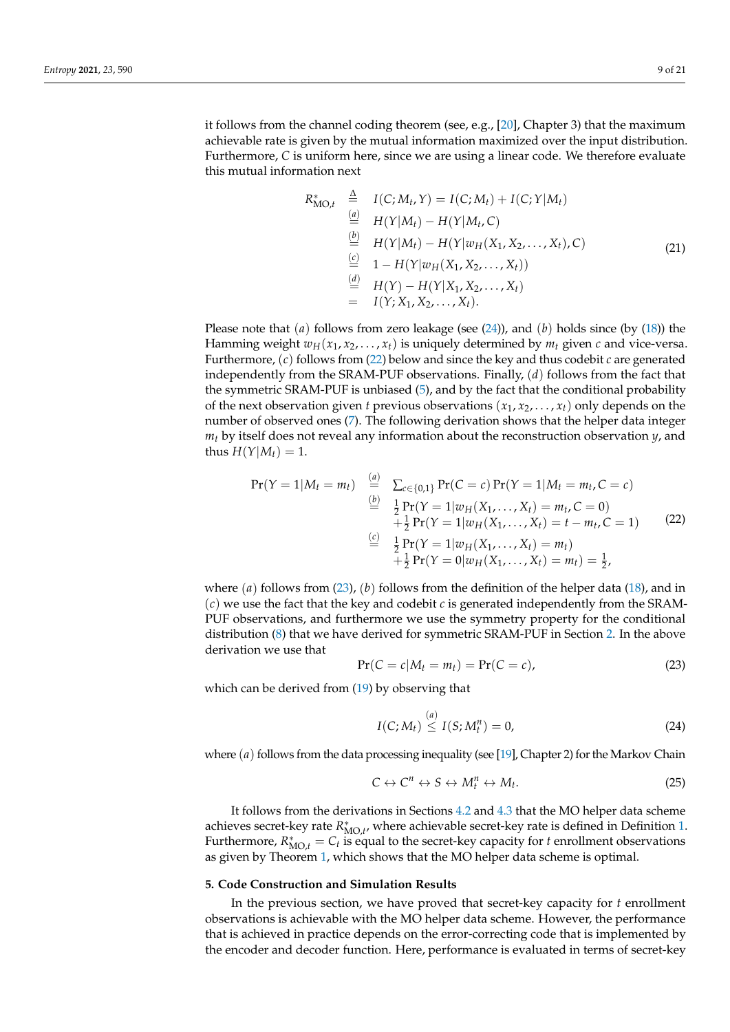it follows from the channel coding theorem (see, e.g., [\[20\]](#page-20-3), Chapter 3) that the maximum achievable rate is given by the mutual information maximized over the input distribution. Furthermore, *C* is uniform here, since we are using a linear code. We therefore evaluate this mutual information next

$$
R_{\text{MO},t}^{*} \stackrel{\Delta}{=} I(C; M_t, Y) = I(C; M_t) + I(C; Y|M_t)
$$
  
\n
$$
\stackrel{(a)}{=} H(Y|M_t) - H(Y|M_t, C)
$$
  
\n
$$
\stackrel{(b)}{=} H(Y|M_t) - H(Y|w_H(X_1, X_2, ..., X_t), C)
$$
  
\n
$$
\stackrel{(c)}{=} 1 - H(Y|w_H(X_1, X_2, ..., X_t))
$$
  
\n
$$
\stackrel{(d)}{=} H(Y) - H(Y|X_1, X_2, ..., X_t)
$$
  
\n
$$
= I(Y; X_1, X_2, ..., X_t).
$$
 (21)

Please note that  $(a)$  follows from zero leakage (see  $(24)$ ), and  $(b)$  holds since (by  $(18)$ ) the Hamming weight  $w_H(x_1, x_2, \ldots, x_t)$  is uniquely determined by  $m_t$  given c and vice-versa. Furthermore, (*c*) follows from [\(22\)](#page-8-2) below and since the key and thus codebit *c* are generated independently from the SRAM-PUF observations. Finally, (*d*) follows from the fact that the symmetric SRAM-PUF is unbiased [\(5\)](#page-3-3), and by the fact that the conditional probability of the next observation given *t* previous observations (*x*1, *x*2, . . . , *xt*) only depends on the number of observed ones [\(7\)](#page-3-2). The following derivation shows that the helper data integer  $m_t$  by itself does not reveal any information about the reconstruction observation  $\gamma$ , and thus  $H(Y|M_t) = 1$ .

$$
\Pr(Y = 1 | M_t = m_t) \stackrel{(a)}{=} \sum_{c \in \{0, 1\}} \Pr(C = c) \Pr(Y = 1 | M_t = m_t, C = c) \stackrel{(b)}{=} \frac{1}{2} \Pr(Y = 1 | w_H(X_1, ..., X_t) = m_t, C = 0) \n+ \frac{1}{2} \Pr(Y = 1 | w_H(X_1, ..., X_t) = t - m_t, C = 1) \stackrel{(c)}{=} \frac{1}{2} \Pr(Y = 1 | w_H(X_1, ..., X_t) = m_t) \n+ \frac{1}{2} \Pr(Y = 0 | w_H(X_1, ..., X_t) = m_t) = \frac{1}{2},
$$
\n(22)

where (*a*) follows from [\(23\)](#page-8-3), (*b*) follows from the definition of the helper data [\(18\)](#page-7-2), and in (*c*) we use the fact that the key and codebit *c* is generated independently from the SRAM-PUF observations, and furthermore we use the symmetry property for the conditional distribution [\(8\)](#page-4-2) that we have derived for symmetric SRAM-PUF in Section [2.](#page-2-0) In the above derivation we use that

<span id="page-8-3"></span><span id="page-8-2"></span>
$$
Pr(C = c|M_t = m_t) = Pr(C = c),
$$
\n(23)

which can be derived from [\(19\)](#page-7-1) by observing that

<span id="page-8-1"></span>
$$
I(C; M_t) \stackrel{(a)}{\leq} I(S; M_t^n) = 0,
$$
\n(24)

where  $(a)$  follows from the data processing inequality (see [\[19\]](#page-20-2), Chapter 2) for the Markov Chain

$$
C \leftrightarrow C^n \leftrightarrow S \leftrightarrow M_t^n \leftrightarrow M_t. \tag{25}
$$

It follows from the derivations in Sections [4.2](#page-7-3) and [4.3](#page-7-4) that the MO helper data scheme achieves secret-key rate  $R^*_{\text{MO},t}$ , where achievable secret-key rate is defined in Definition [1.](#page-5-5) Furthermore,  $R_{\text{MO},t}^* = C_t$  is equal to the secret-key capacity for *t* enrollment observations as given by Theorem [1,](#page-6-3) which shows that the MO helper data scheme is optimal.

### <span id="page-8-0"></span>**5. Code Construction and Simulation Results**

In the previous section, we have proved that secret-key capacity for *t* enrollment observations is achievable with the MO helper data scheme. However, the performance that is achieved in practice depends on the error-correcting code that is implemented by the encoder and decoder function. Here, performance is evaluated in terms of secret-key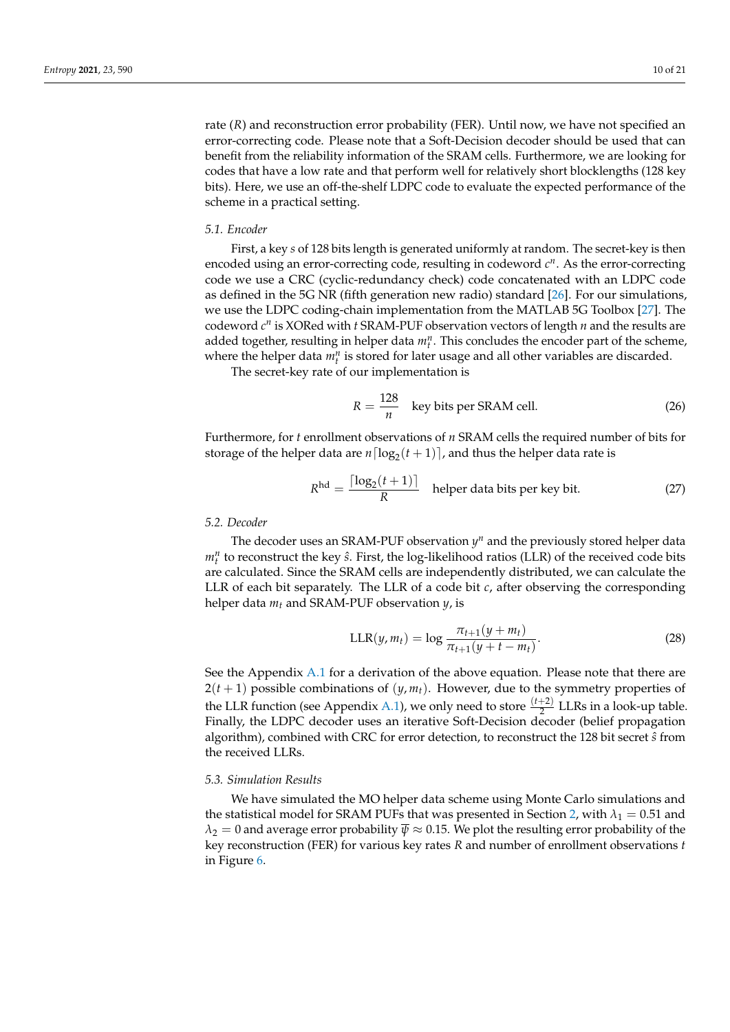rate (*R*) and reconstruction error probability (FER). Until now, we have not specified an error-correcting code. Please note that a Soft-Decision decoder should be used that can benefit from the reliability information of the SRAM cells. Furthermore, we are looking for codes that have a low rate and that perform well for relatively short blocklengths (128 key bits). Here, we use an off-the-shelf LDPC code to evaluate the expected performance of the scheme in a practical setting.

#### *5.1. Encoder*

First, a key *s* of 128 bits length is generated uniformly at random. The secret-key is then encoded using an error-correcting code, resulting in codeword  $c^n$ . As the error-correcting code we use a CRC (cyclic-redundancy check) code concatenated with an LDPC code as defined in the 5G NR (fifth generation new radio) standard [\[26\]](#page-20-9). For our simulations, we use the LDPC coding-chain implementation from the MATLAB 5G Toolbox [\[27\]](#page-20-10). The codeword  $c^n$  is XORed with *t* SRAM-PUF observation vectors of length *n* and the results are added together, resulting in helper data *m<sup>n</sup> t* . This concludes the encoder part of the scheme, where the helper data  $m_t^n$  is stored for later usage and all other variables are discarded.

The secret-key rate of our implementation is

$$
R = \frac{128}{n}
$$
 key bits per SRAM cell. (26)

Furthermore, for *t* enrollment observations of *n* SRAM cells the required number of bits for storage of the helper data are  $n\lceil \log_2(t+1) \rceil$ , and thus the helper data rate is

$$
Rhd = \frac{\lceil \log_2(t+1) \rceil}{R}
$$
 helper data bits per key bit. (27)

## *5.2. Decoder*

The decoder uses an SRAM-PUF observation *y <sup>n</sup>* and the previously stored helper data *m<sup>n</sup> t* to reconstruct the key *s*ˆ. First, the log-likelihood ratios (LLR) of the received code bits are calculated. Since the SRAM cells are independently distributed, we can calculate the LLR of each bit separately. The LLR of a code bit *c*, after observing the corresponding helper data *m<sup>t</sup>* and SRAM-PUF observation *y*, is

<span id="page-9-0"></span>LLR(y, m<sub>t</sub>) = log 
$$
\frac{\pi_{t+1}(y + m_t)}{\pi_{t+1}(y + t - m_t)}
$$
. (28)

See the Appendix [A.1](#page-16-0) for a derivation of the above equation. Please note that there are  $2(t+1)$  possible combinations of  $(y, m_t)$ . However, due to the symmetry properties of the LLR function (see Appendix [A.1\)](#page-16-0), we only need to store  $\frac{(t+2)}{2}$  LLRs in a look-up table. Finally, the LDPC decoder uses an iterative Soft-Decision decoder (belief propagation algorithm), combined with CRC for error detection, to reconstruct the 128 bit secret *s*ˆ from the received LLRs.

#### *5.3. Simulation Results*

We have simulated the MO helper data scheme using Monte Carlo simulations and the statistical model for SRAM PUFs that was presented in Section [2,](#page-2-0) with  $\lambda_1 = 0.51$  and  $\lambda_2 = 0$  and average error probability  $\overline{\psi} \approx 0.15$ . We plot the resulting error probability of the key reconstruction (FER) for various key rates *R* and number of enrollment observations *t* in Figure [6.](#page-10-1)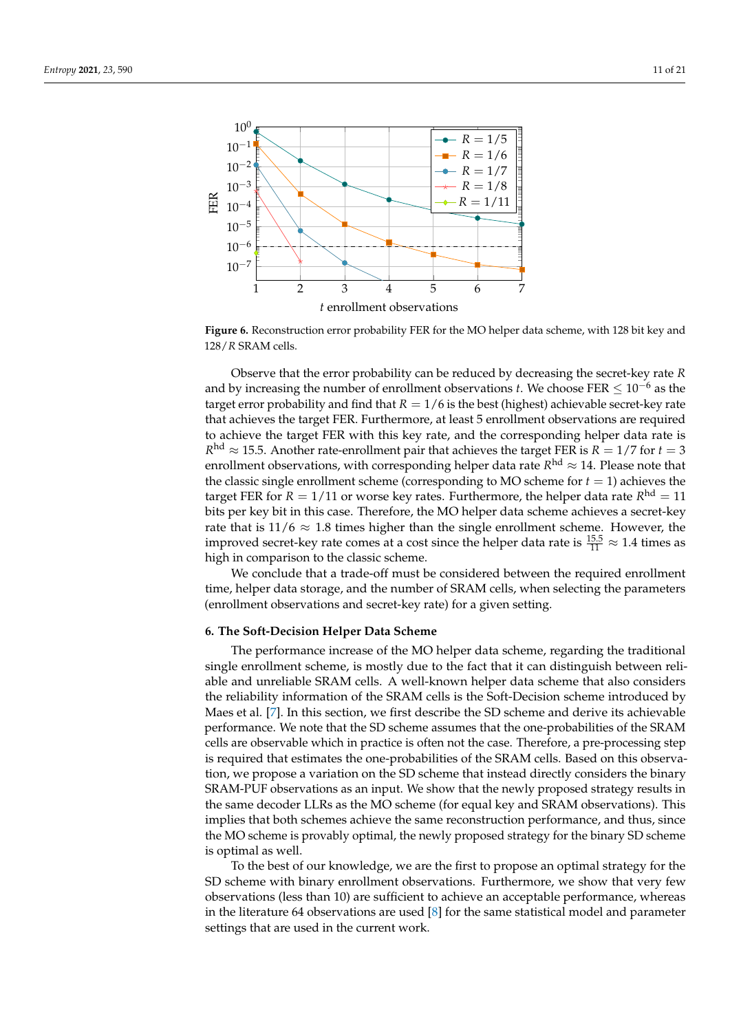<span id="page-10-1"></span>

**Figure 6.** Reconstruction error probability FER for the MO helper data scheme, with 128 bit key and 128/*R* SRAM cells.

Observe that the error probability can be reduced by decreasing the secret-key rate *R* and by increasing the number of enrollment observations *t*. We choose FER  $\leq 10^{-6}$  as the target error probability and find that  $R = 1/6$  is the best (highest) achievable secret-key rate that achieves the target FER. Furthermore, at least 5 enrollment observations are required to achieve the target FER with this key rate, and the corresponding helper data rate is  $R^{\text{hd}} \approx 15.5$ . Another rate-enrollment pair that achieves the target FER is  $R = 1/7$  for  $t = 3$ enrollment observations*,* with corresponding helper data rate  $R^{\text{hd}} \approx 14$ . Please note that the classic single enrollment scheme (corresponding to MO scheme for  $t = 1$ ) achieves the target FER for  $R = 1/11$  or worse key rates. Furthermore, the helper data rate  $R^{\text{hd}} = 11$ bits per key bit in this case. Therefore, the MO helper data scheme achieves a secret-key rate that is  $11/6 \approx 1.8$  times higher than the single enrollment scheme. However, the improved secret-key rate comes at a cost since the helper data rate is  $\frac{15.5}{11} \approx 1.4$  times as high in comparison to the classic scheme.

We conclude that a trade-off must be considered between the required enrollment time, helper data storage, and the number of SRAM cells, when selecting the parameters (enrollment observations and secret-key rate) for a given setting.

#### <span id="page-10-0"></span>**6. The Soft-Decision Helper Data Scheme**

The performance increase of the MO helper data scheme, regarding the traditional single enrollment scheme, is mostly due to the fact that it can distinguish between reliable and unreliable SRAM cells. A well-known helper data scheme that also considers the reliability information of the SRAM cells is the Soft-Decision scheme introduced by Maes et al. [\[7\]](#page-19-6). In this section, we first describe the SD scheme and derive its achievable performance. We note that the SD scheme assumes that the one-probabilities of the SRAM cells are observable which in practice is often not the case. Therefore, a pre-processing step is required that estimates the one-probabilities of the SRAM cells. Based on this observation, we propose a variation on the SD scheme that instead directly considers the binary SRAM-PUF observations as an input. We show that the newly proposed strategy results in the same decoder LLRs as the MO scheme (for equal key and SRAM observations). This implies that both schemes achieve the same reconstruction performance, and thus, since the MO scheme is provably optimal, the newly proposed strategy for the binary SD scheme is optimal as well.

To the best of our knowledge, we are the first to propose an optimal strategy for the SD scheme with binary enrollment observations. Furthermore, we show that very few observations (less than 10) are sufficient to achieve an acceptable performance, whereas in the literature 64 observations are used  $[8]$  for the same statistical model and parameter settings that are used in the current work.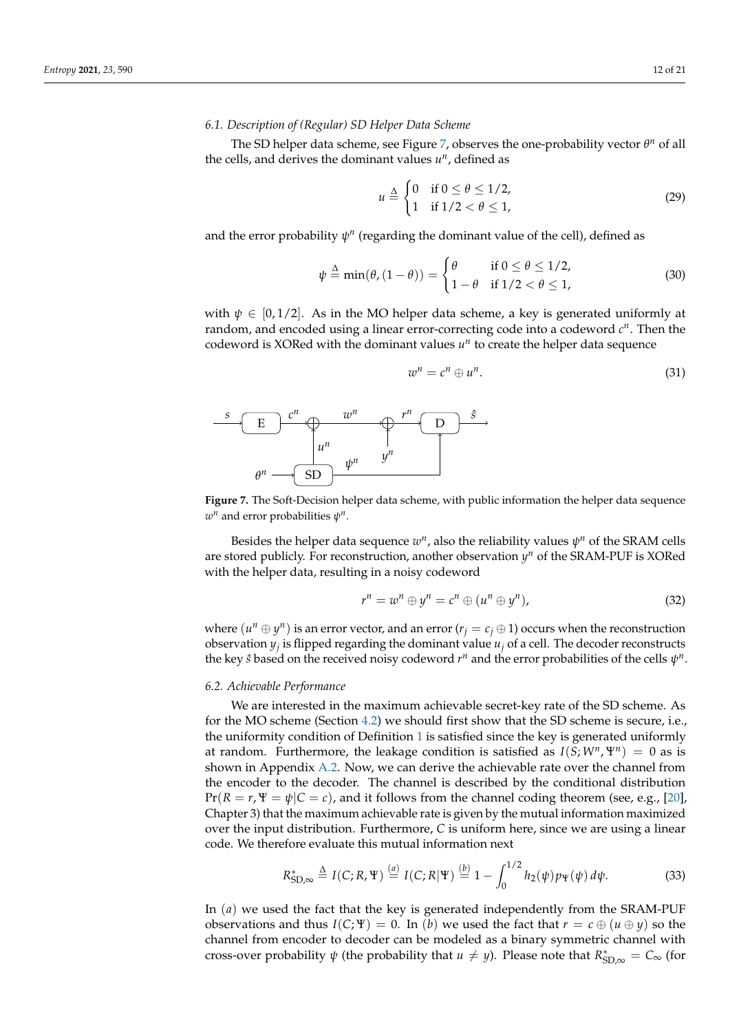# *6.1. Description of (Regular) SD Helper Data Scheme*

The SD helper data scheme, see Figure [7,](#page-11-0) observes the one-probability vector θ<sup>n</sup> of all the cells, and derives the dominant values  $u^n$ , defined as

<span id="page-11-3"></span>
$$
u \triangleq \begin{cases} 0 & \text{if } 0 \le \theta \le 1/2, \\ 1 & \text{if } 1/2 < \theta \le 1, \end{cases} \tag{29}
$$

and the error probability  $\psi^n$  (regarding the dominant value of the cell), defined as

<span id="page-11-2"></span>
$$
\psi \stackrel{\Delta}{=} \min(\theta, (1 - \theta)) = \begin{cases} \theta & \text{if } 0 \le \theta \le 1/2, \\ 1 - \theta & \text{if } 1/2 < \theta \le 1, \end{cases}
$$
 (30)

with  $\psi \in [0, 1/2]$ . As in the MO helper data scheme, a key is generated uniformly at random, and encoded using a linear error-correcting code into a codeword  $c^n$ . Then the codeword is XORed with the dominant values *u n* to create the helper data sequence

<span id="page-11-1"></span>
$$
w^n = c^n \oplus u^n. \tag{31}
$$

<span id="page-11-0"></span>

**Figure 7.** The Soft-Decision helper data scheme, with public information the helper data sequence  $w^n$  and error probabilities  $\psi^n$ .

Besides the helper data sequence  $w^n$ , also the reliability values  $\psi^n$  of the SRAM cells are stored publicly. For reconstruction, another observation *y <sup>n</sup>* of the SRAM-PUF is XORed with the helper data, resulting in a noisy codeword

$$
r^n = w^n \oplus y^n = c^n \oplus (u^n \oplus y^n), \tag{32}
$$

where  $(u^n \oplus y^n)$  is an error vector, and an error  $(r_j = c_j \oplus 1)$  occurs when the reconstruction observation  $y_j$  is flipped regarding the dominant value  $u_j$  of a cell. The decoder reconstructs the key  $\hat{s}$  based on the received noisy codeword  $r^n$  and the error probabilities of the cells  $\psi^n$ .

#### *6.2. Achievable Performance*

We are interested in the maximum achievable secret-key rate of the SD scheme. As for the MO scheme (Section [4.2\)](#page-7-3) we should first show that the SD scheme is secure, i.e., the uniformity condition of Definition [1](#page-5-5) is satisfied since the key is generated uniformly at random. Furthermore, the leakage condition is satisfied as  $I(S;W^n,\Psi^n) = 0$  as is shown in Appendix [A.2.](#page-17-0) Now, we can derive the achievable rate over the channel from the encoder to the decoder. The channel is described by the conditional distribution  $Pr(R = r, \Psi = \psi | C = c)$ , and it follows from the channel coding theorem (see, e.g., [\[20\]](#page-20-3), Chapter 3) that the maximum achievable rate is given by the mutual information maximized over the input distribution. Furthermore, *C* is uniform here, since we are using a linear code. We therefore evaluate this mutual information next

$$
R_{\text{SD},\infty}^{*} \triangleq I(C;R,\Psi) \stackrel{(a)}{=} I(C;R|\Psi) \stackrel{(b)}{=} 1 - \int_{0}^{1/2} h_2(\psi) p_{\Psi}(\psi) d\psi.
$$
 (33)

In (*a*) we used the fact that the key is generated independently from the SRAM-PUF observations and thus  $I(C; \Psi) = 0$ . In (*b*) we used the fact that  $r = c \oplus (u \oplus y)$  so the channel from encoder to decoder can be modeled as a binary symmetric channel with cross-over probability  $\psi$  (the probability that  $u \neq y$ ). Please note that  $R_{\text{SD},\infty}^* = C_{\infty}$  (for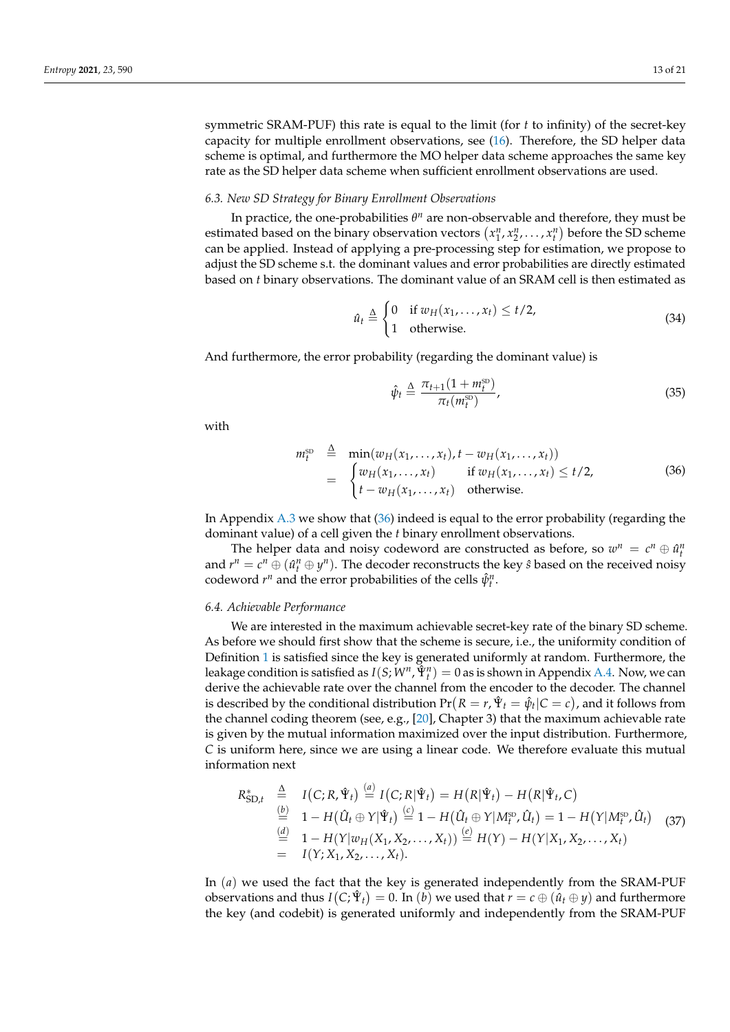symmetric SRAM-PUF) this rate is equal to the limit (for *t* to infinity) of the secret-key capacity for multiple enrollment observations, see [\(16\)](#page-6-4). Therefore, the SD helper data scheme is optimal, and furthermore the MO helper data scheme approaches the same key rate as the SD helper data scheme when sufficient enrollment observations are used.

## <span id="page-12-1"></span>*6.3. New SD Strategy for Binary Enrollment Observations*

In practice, the one-probabilities  $θ<sup>n</sup>$  are non-observable and therefore, they must be estimated based on the binary observation vectors  $(x_1^n, x_2^n, \ldots, x_t^n)$  before the SD scheme can be applied. Instead of applying a pre-processing step for estimation, we propose to adjust the SD scheme s.t. the dominant values and error probabilities are directly estimated based on *t* binary observations. The dominant value of an SRAM cell is then estimated as

$$
\hat{u}_t \stackrel{\Delta}{=} \begin{cases} 0 & \text{if } w_H(x_1, \dots, x_t) \le t/2, \\ 1 & \text{otherwise.} \end{cases}
$$
 (34)

And furthermore, the error probability (regarding the dominant value) is

<span id="page-12-2"></span><span id="page-12-0"></span>
$$
\hat{\psi}_t \stackrel{\Delta}{=} \frac{\pi_{t+1}(1+m_t^{\text{SD}})}{\pi_t(m_t^{\text{SD}})},\tag{35}
$$

with

$$
m_t^{\text{SD}} \triangleq \min(w_H(x_1, ..., x_t), t - w_H(x_1, ..., x_t))
$$
  
= 
$$
\begin{cases} w_H(x_1, ..., x_t) & \text{if } w_H(x_1, ..., x_t) \le t/2, \\ t - w_H(x_1, ..., x_t) & \text{otherwise.} \end{cases}
$$
 (36)

In Appendix [A.3](#page-17-1) we show that [\(36\)](#page-12-0) indeed is equal to the error probability (regarding the dominant value) of a cell given the *t* binary enrollment observations.

The helper data and noisy codeword are constructed as before, so  $w^n = c^n \oplus \hat{u}_t^n$ and  $r^n = c^n \oplus (u_i^n \oplus y^n)$ . The decoder reconstructs the key  $\hat{s}$  based on the received noisy codeword  $r^n$  and the error probabilities of the cells  $\hat{\psi}_t^n$ .

#### *6.4. Achievable Performance*

We are interested in the maximum achievable secret-key rate of the binary SD scheme. As before we should first show that the scheme is secure, i.e., the uniformity condition of Definition [1](#page-5-5) is satisfied since the key is generated uniformly at random. Furthermore, the leakage condition is satisfied as  $I(S;W^n,\hat{\Psi}^n_t)=0$  as is shown in Appendix [A.4.](#page-17-2) Now, we can derive the achievable rate over the channel from the encoder to the decoder. The channel is described by the conditional distribution  $\Pr(R=r, \hat{\Psi}_t=\hat{\psi}_t|C=c)$ , and it follows from the channel coding theorem (see, e.g., [\[20\]](#page-20-3), Chapter 3) that the maximum achievable rate is given by the mutual information maximized over the input distribution. Furthermore, *C* is uniform here, since we are using a linear code. We therefore evaluate this mutual information next

$$
R_{\text{SD},t}^{*} \stackrel{\Delta}{=} I(C;R,\hat{\Psi}_{t}) \stackrel{(a)}{=} I(C;R|\hat{\Psi}_{t}) = H(R|\hat{\Psi}_{t}) - H(R|\hat{\Psi}_{t},C) \n\stackrel{(b)}{=} 1 - H(\hat{U}_{t} \oplus Y|\hat{\Psi}_{t}) \stackrel{(c)}{=} 1 - H(\hat{U}_{t} \oplus Y|M_{t}^{\text{SD}},\hat{U}_{t}) = 1 - H(Y|M_{t}^{\text{SD}},\hat{U}_{t}) \quad (37) \n\stackrel{(d)}{=} 1 - H(Y|w_{H}(X_{1},X_{2},...,X_{t})) \stackrel{(e)}{=} H(Y) - H(Y|X_{1},X_{2},...,X_{t}) \n= I(Y;X_{1},X_{2},...,X_{t}).
$$

In (*a*) we used the fact that the key is generated independently from the SRAM-PUF observations and thus  $I(C; \hat{\Psi}_t) = 0$ . In  $(b)$  we used that  $r = c \oplus (\hat{u}_t \oplus y)$  and furthermore the key (and codebit) is generated uniformly and independently from the SRAM-PUF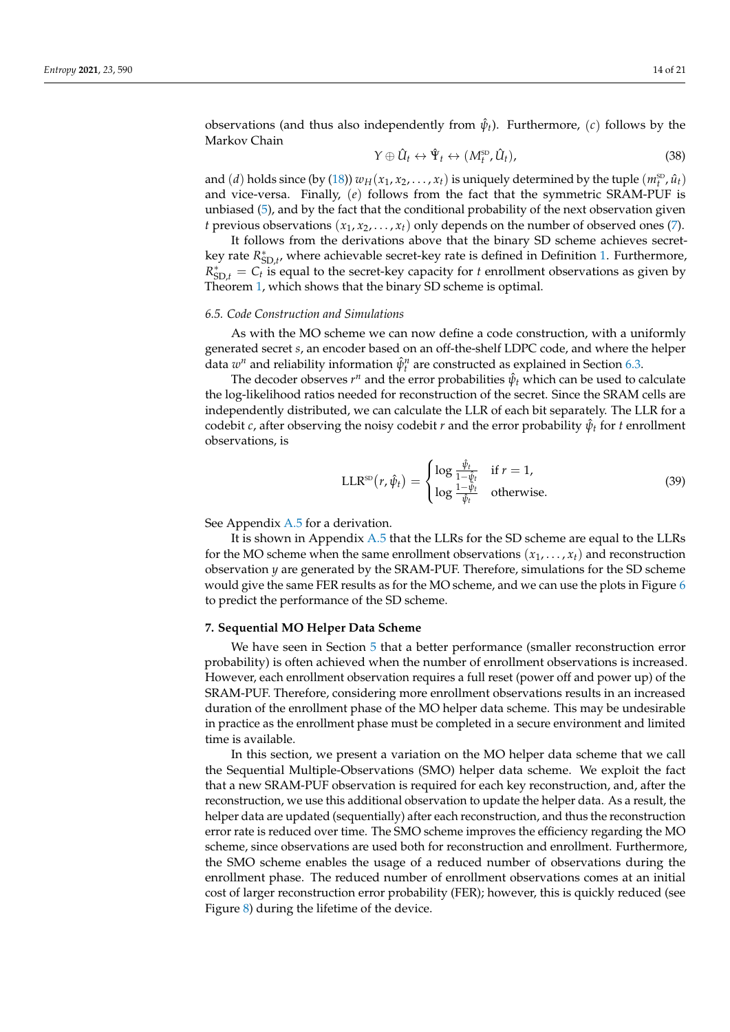observations (and thus also independently from  $\hat{\psi}_t$ ). Furthermore, (*c*) follows by the Markov Chain

$$
Y \oplus \hat{U}_t \leftrightarrow \hat{\Psi}_t \leftrightarrow (M_t^{\text{SD}}, \hat{U}_t), \tag{38}
$$

and (*d*) holds since (by [\(18\)](#page-7-2))  $w_H(x_1, x_2, \ldots, x_t)$  is uniquely determined by the tuple  $(m_t^{\text{SD}}, \hat{u}_t)$ and vice-versa. Finally, (*e*) follows from the fact that the symmetric SRAM-PUF is unbiased [\(5\)](#page-3-3), and by the fact that the conditional probability of the next observation given *t* previous observations  $(x_1, x_2, \ldots, x_t)$  only depends on the number of observed ones [\(7\)](#page-3-2).

It follows from the derivations above that the binary SD scheme achieves secretkey rate  $R_{SD,t}^*$ , where achievable secret-key rate is defined in Definition [1.](#page-5-5) Furthermore,  $R_{SD,t}^* = C_t$  is equal to the secret-key capacity for *t* enrollment observations as given by Theorem [1,](#page-6-3) which shows that the binary SD scheme is optimal.

# *6.5. Code Construction and Simulations*

As with the MO scheme we can now define a code construction, with a uniformly generated secret *s*, an encoder based on an off-the-shelf LDPC code, and where the helper data  $w^n$  and reliability information  $\hat{\psi}_t^n$  are constructed as explained in Section [6.3.](#page-12-1)

The decoder observes  $r^n$  and the error probabilities  $\hat{\psi}_t$  which can be used to calculate the log-likelihood ratios needed for reconstruction of the secret. Since the SRAM cells are independently distributed, we can calculate the LLR of each bit separately. The LLR for a codebit *c*, after observing the noisy codebit *r* and the error probability *ψ*ˆ *<sup>t</sup>* for *t* enrollment observations, is

<span id="page-13-1"></span>
$$
\text{LLR}^{\text{SD}}(r,\hat{\psi}_t) = \begin{cases} \log \frac{\hat{\psi}_t}{1 - \hat{\psi}_t} & \text{if } r = 1, \\ \log \frac{1 - \hat{\psi}_t}{\hat{\psi}_t} & \text{otherwise.} \end{cases}
$$
(39)

See Appendix [A.5](#page-18-0) for a derivation.

It is shown in Appendix [A.5](#page-18-0) that the LLRs for the SD scheme are equal to the LLRs for the MO scheme when the same enrollment observations  $(x_1, \ldots, x_t)$  and reconstruction observation *y* are generated by the SRAM-PUF. Therefore, simulations for the SD scheme would give the same FER results as for the MO scheme, and we can use the plots in Figure [6](#page-10-1) to predict the performance of the SD scheme.

#### <span id="page-13-0"></span>**7. Sequential MO Helper Data Scheme**

We have seen in Section [5](#page-8-0) that a better performance (smaller reconstruction error probability) is often achieved when the number of enrollment observations is increased. However, each enrollment observation requires a full reset (power off and power up) of the SRAM-PUF. Therefore, considering more enrollment observations results in an increased duration of the enrollment phase of the MO helper data scheme. This may be undesirable in practice as the enrollment phase must be completed in a secure environment and limited time is available.

In this section, we present a variation on the MO helper data scheme that we call the Sequential Multiple-Observations (SMO) helper data scheme. We exploit the fact that a new SRAM-PUF observation is required for each key reconstruction, and, after the reconstruction, we use this additional observation to update the helper data. As a result, the helper data are updated (sequentially) after each reconstruction, and thus the reconstruction error rate is reduced over time. The SMO scheme improves the efficiency regarding the MO scheme, since observations are used both for reconstruction and enrollment. Furthermore, the SMO scheme enables the usage of a reduced number of observations during the enrollment phase. The reduced number of enrollment observations comes at an initial cost of larger reconstruction error probability (FER); however, this is quickly reduced (see Figure [8\)](#page-14-0) during the lifetime of the device.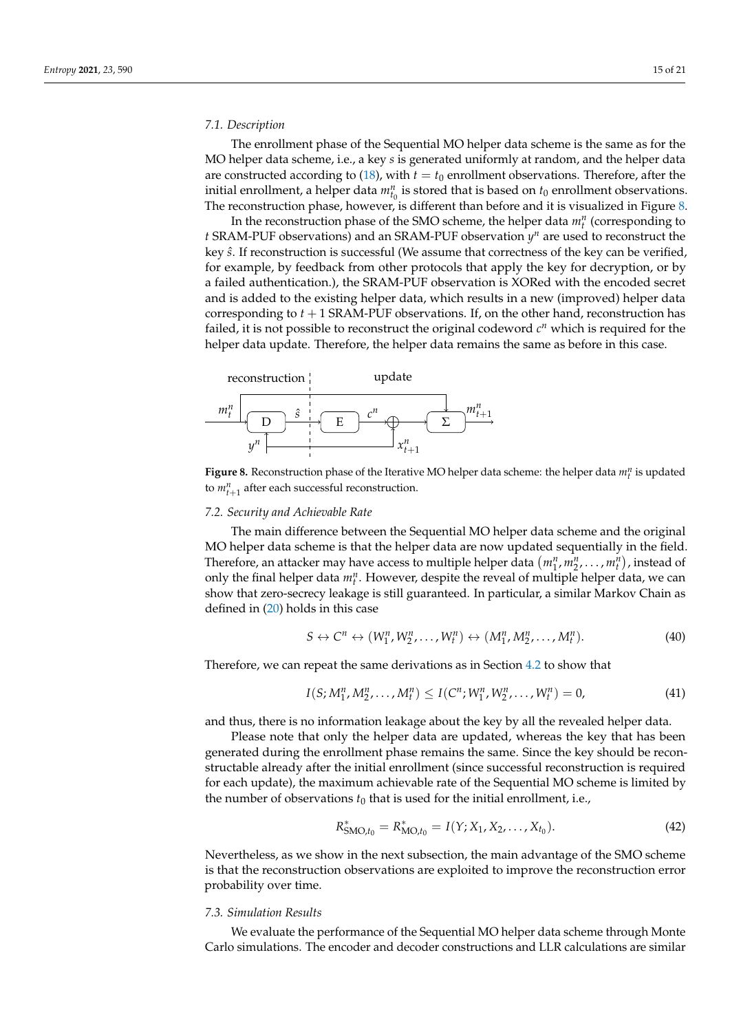# *7.1. Description*

The enrollment phase of the Sequential MO helper data scheme is the same as for the MO helper data scheme, i.e., a key *s* is generated uniformly at random, and the helper data are constructed according to [\(18\)](#page-7-2), with  $t = t_0$  enrollment observations. Therefore, after the initial enrollment, a helper data  $m_{t_0}^n$  is stored that is based on  $t_0$  enrollment observations. The reconstruction phase, however, is different than before and it is visualized in Figure [8.](#page-14-0)

In the reconstruction phase of the SMO scheme, the helper data  $m_l^n$  (corresponding to *t* SRAM-PUF observations) and an SRAM-PUF observation *y <sup>n</sup>* are used to reconstruct the key  $\hat{s}$ . If reconstruction is successful (We assume that correctness of the key can be verified, for example, by feedback from other protocols that apply the key for decryption, or by a failed authentication.), the SRAM-PUF observation is XORed with the encoded secret and is added to the existing helper data, which results in a new (improved) helper data corresponding to  $t + 1$  SRAM-PUF observations. If, on the other hand, reconstruction has failed, it is not possible to reconstruct the original codeword  $c<sup>n</sup>$  which is required for the helper data update. Therefore, the helper data remains the same as before in this case.

<span id="page-14-0"></span>

**Figure 8.** Reconstruction phase of the Iterative MO helper data scheme: the helper data *m<sup>n</sup> t* is updated to  $m_{t+1}^n$  after each successful reconstruction.

#### *7.2. Security and Achievable Rate*

The main difference between the Sequential MO helper data scheme and the original MO helper data scheme is that the helper data are now updated sequentially in the field. Therefore, an attacker may have access to multiple helper data  $(m_1^n, m_2^n, \ldots, m_t^n)$ , instead of only the final helper data *m<sup>n</sup> t* . However, despite the reveal of multiple helper data, we can show that zero-secrecy leakage is still guaranteed. In particular, a similar Markov Chain as defined in [\(20\)](#page-7-5) holds in this case

$$
S \leftrightarrow C^n \leftrightarrow (W_1^n, W_2^n, \dots, W_t^n) \leftrightarrow (M_1^n, M_2^n, \dots, M_t^n).
$$
 (40)

Therefore, we can repeat the same derivations as in Section [4.2](#page-7-3) to show that

$$
I(S; M_1^n, M_2^n, \dots, M_t^n) \leq I(C^n; W_1^n, W_2^n, \dots, W_t^n) = 0,
$$
\n(41)

and thus, there is no information leakage about the key by all the revealed helper data.

Please note that only the helper data are updated, whereas the key that has been generated during the enrollment phase remains the same. Since the key should be reconstructable already after the initial enrollment (since successful reconstruction is required for each update), the maximum achievable rate of the Sequential MO scheme is limited by the number of observations  $t_0$  that is used for the initial enrollment, i.e.,

$$
R_{\text{SMO},t_0}^* = R_{\text{MO},t_0}^* = I(Y; X_1, X_2, \dots, X_{t_0}).
$$
\n(42)

Nevertheless, as we show in the next subsection, the main advantage of the SMO scheme is that the reconstruction observations are exploited to improve the reconstruction error probability over time.

## *7.3. Simulation Results*

We evaluate the performance of the Sequential MO helper data scheme through Monte Carlo simulations. The encoder and decoder constructions and LLR calculations are similar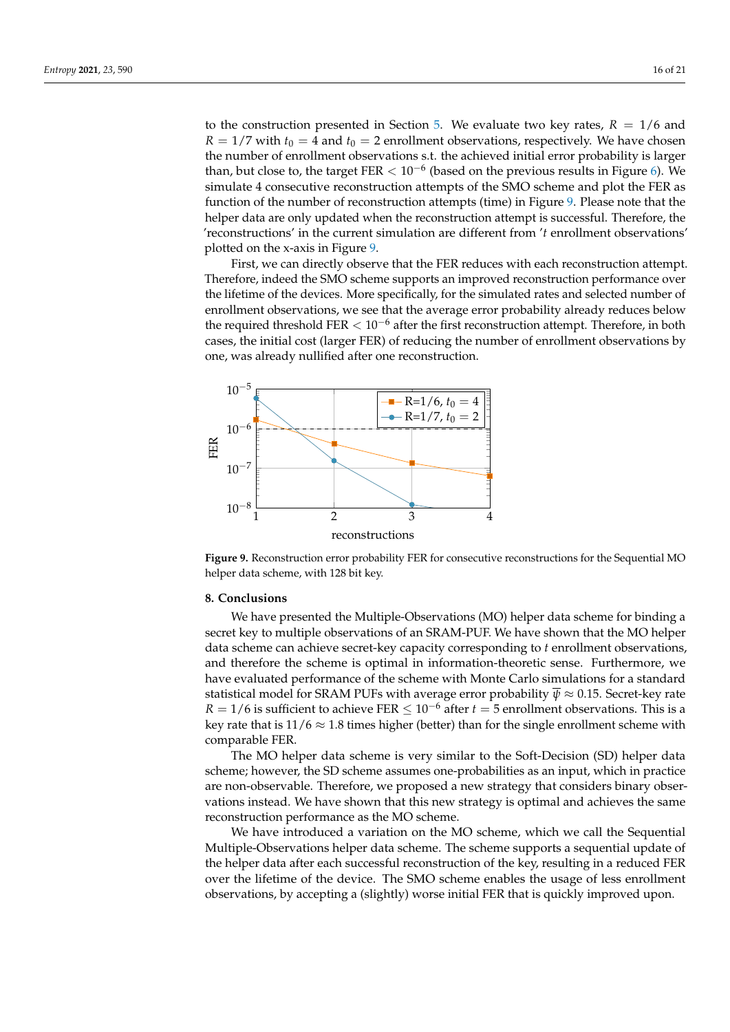to the construction presented in Section [5.](#page-8-0) We evaluate two key rates,  $R = 1/6$  and  $R = 1/7$  with  $t_0 = 4$  and  $t_0 = 2$  enrollment observations, respectively. We have chosen the number of enrollment observations s.t. the achieved initial error probability is larger than, but close to, the target FER  $< 10^{-6}$  (based on the previous results in Figure [6\)](#page-10-1). We simulate 4 consecutive reconstruction attempts of the SMO scheme and plot the FER as function of the number of reconstruction attempts (time) in Figure [9.](#page-15-0) Please note that the helper data are only updated when the reconstruction attempt is successful. Therefore, the 'reconstructions' in the current simulation are different from '*t* enrollment observations' plotted on the x-axis in Figure [9.](#page-15-0)

First, we can directly observe that the FER reduces with each reconstruction attempt. Therefore, indeed the SMO scheme supports an improved reconstruction performance over the lifetime of the devices. More specifically, for the simulated rates and selected number of enrollment observations, we see that the average error probability already reduces below the required threshold FER  $< 10^{-6}$  after the first reconstruction attempt. Therefore, in both cases, the initial cost (larger FER) of reducing the number of enrollment observations by one, was already nullified after one reconstruction.

<span id="page-15-0"></span>

**Figure 9.** Reconstruction error probability FER for consecutive reconstructions for the Sequential MO helper data scheme, with 128 bit key.

# **8. Conclusions**

We have presented the Multiple-Observations (MO) helper data scheme for binding a secret key to multiple observations of an SRAM-PUF. We have shown that the MO helper data scheme can achieve secret-key capacity corresponding to *t* enrollment observations, and therefore the scheme is optimal in information-theoretic sense. Furthermore, we have evaluated performance of the scheme with Monte Carlo simulations for a standard statistical model for SRAM PUFs with average error probability  $\overline{\psi} \approx 0.15$ . Secret-key rate  $R = 1/6$  is sufficient to achieve FER  $\leq 10^{-6}$  after  $t = 5$  enrollment observations. This is a key rate that is  $11/6 \approx 1.8$  times higher (better) than for the single enrollment scheme with comparable FER.

The MO helper data scheme is very similar to the Soft-Decision (SD) helper data scheme; however, the SD scheme assumes one-probabilities as an input, which in practice are non-observable. Therefore, we proposed a new strategy that considers binary observations instead. We have shown that this new strategy is optimal and achieves the same reconstruction performance as the MO scheme.

We have introduced a variation on the MO scheme, which we call the Sequential Multiple-Observations helper data scheme. The scheme supports a sequential update of the helper data after each successful reconstruction of the key, resulting in a reduced FER over the lifetime of the device. The SMO scheme enables the usage of less enrollment observations, by accepting a (slightly) worse initial FER that is quickly improved upon.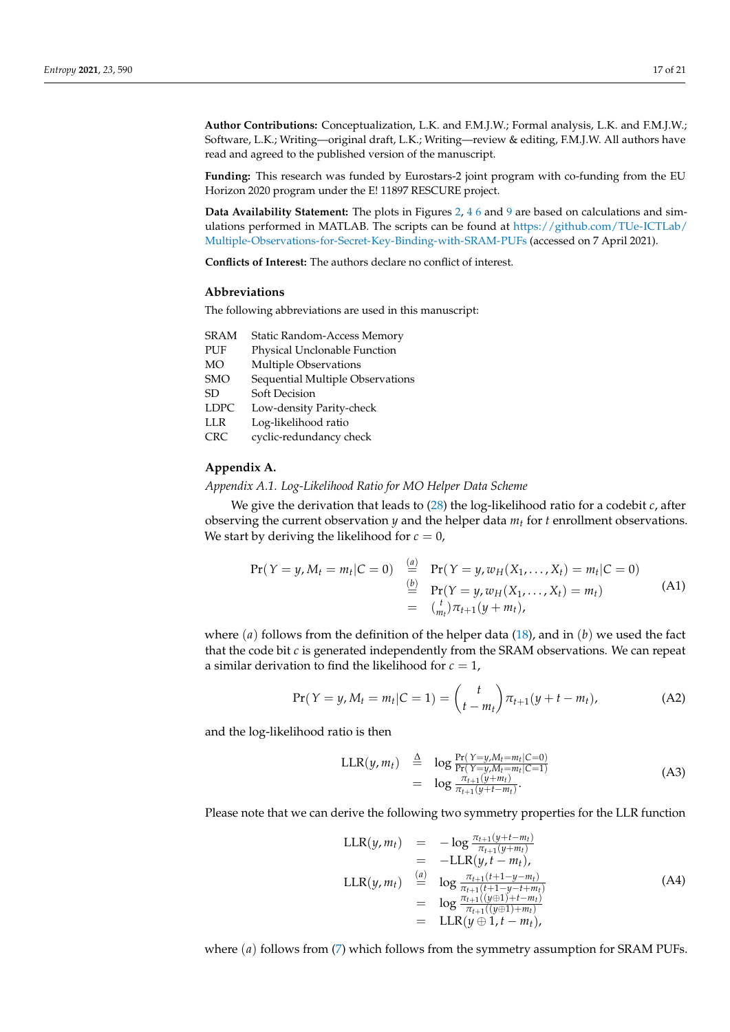**Author Contributions:** Conceptualization, L.K. and F.M.J.W.; Formal analysis, L.K. and F.M.J.W.; Software, L.K.; Writing—original draft, L.K.; Writing—review & editing, F.M.J.W. All authors have read and agreed to the published version of the manuscript.

**Funding:** This research was funded by Eurostars-2 joint program with co-funding from the EU Horizon 2020 program under the E! 11897 RESCURE project.

**Data Availability Statement:** The plots in Figures [2,](#page-4-0) [4](#page-6-1) [6](#page-10-1) and [9](#page-15-0) are based on calculations and simulations performed in MATLAB. The scripts can be found at [https://github.com/TUe-ICTLab/](https://github.com/TUe-ICTLab/Multiple-Observations-for-Secret-Key-Binding-with-SRAM-PUFs) [Multiple-Observations-for-Secret-Key-Binding-with-SRAM-PUFs](https://github.com/TUe-ICTLab/Multiple-Observations-for-Secret-Key-Binding-with-SRAM-PUFs) (accessed on 7 April 2021).

**Conflicts of Interest:** The authors declare no conflict of interest.

## **Abbreviations**

The following abbreviations are used in this manuscript:

| <b>SRAM</b><br>Static Random-Access Memory |
|--------------------------------------------|
|                                            |

- PUF Physical Unclonable Function
- MO Multiple Observations
- SMO Sequential Multiple Observations
- SD Soft Decision
- LDPC Low-density Parity-check
- LLR Log-likelihood ratio
- CRC cyclic-redundancy check

# **Appendix A.**

<span id="page-16-0"></span>*Appendix A.1. Log-Likelihood Ratio for MO Helper Data Scheme*

We give the derivation that leads to [\(28\)](#page-9-0) the log-likelihood ratio for a codebit *c*, after observing the current observation  $\psi$  and the helper data  $m_t$  for  $t$  enrollment observations. We start by deriving the likelihood for  $c = 0$ ,

$$
\Pr(Y = y, M_t = m_t | C = 0) \stackrel{(a)}{=} \Pr(Y = y, w_H(X_1, ..., X_t) = m_t | C = 0) \stackrel{(b)}{=} \Pr(Y = y, w_H(X_1, ..., X_t) = m_t) \n= \binom{t}{m_t} \pi_{t+1}(y + m_t),
$$
\n(A1)

where (*a*) follows from the definition of the helper data [\(18\)](#page-7-2), and in (*b*) we used the fact that the code bit  $c$  is generated independently from the SRAM observations. We can repeat a similar derivation to find the likelihood for  $c = 1$ ,

$$
Pr(Y = y, M_t = m_t | C = 1) = {t \choose t - m_t} \pi_{t+1}(y + t - m_t),
$$
 (A2)

and the log-likelihood ratio is then

$$
LLR(y, m_t) \stackrel{\Delta}{=} \log \frac{\Pr(Y=y, M_t=m_t|C=0)}{\Pr(Y=y, M_t=m_t|C=1)}= \log \frac{\pi_{t+1}(y+m_t)}{\pi_{t+1}(y+t-m_t)}.
$$
(A3)

Please note that we can derive the following two symmetry properties for the LLR function

$$
LLR(y, m_t) = -\log \frac{\pi_{t+1}(y+t-m_t)}{\pi_{t+1}(y+m_t)}
$$
  
\n
$$
= -LLR(y, t - m_t),
$$
  
\n
$$
LLR(y, m_t) \stackrel{(a)}{=} \log \frac{\pi_{t+1}(t+1-y-m_t)}{\pi_{t+1}(t+1-y-t+m_t)}
$$
  
\n
$$
= \log \frac{\pi_{t+1}((y\oplus 1)+t-m_t)}{\pi_{t+1}((y\oplus 1)+m_t)}
$$
  
\n
$$
= LLR(y \oplus 1, t - m_t),
$$
\n(A4)

where (*a*) follows from (*7*) which follows from the symmetry assumption for SRAM PUFs.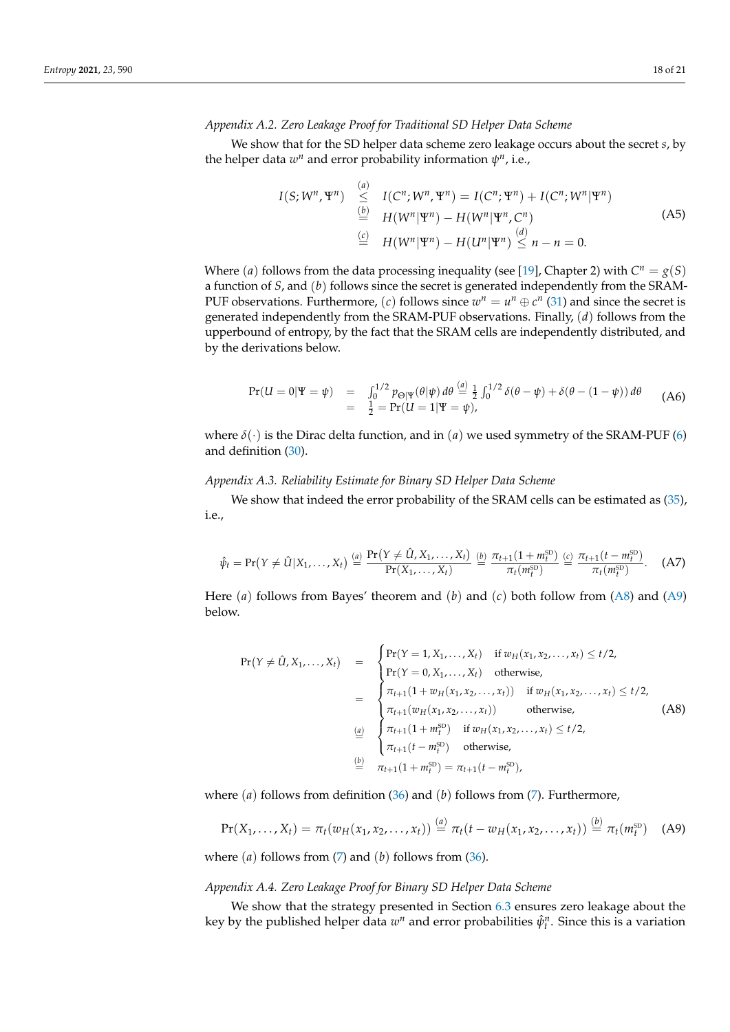# <span id="page-17-0"></span>*Appendix A.2. Zero Leakage Proof for Traditional SD Helper Data Scheme*

We show that for the SD helper data scheme zero leakage occurs about the secret *s*, by the helper data  $w^n$  and error probability information  $\psi^n$ , i.e.,

<span id="page-17-5"></span>
$$
I(S;W^n, \Psi^n) \stackrel{(a)}{\leq} I(C^n;W^n, \Psi^n) = I(C^n; \Psi^n) + I(C^n;W^n|\Psi^n)
$$
\n
$$
\stackrel{(b)}{=} H(W^n|\Psi^n) - H(W^n|\Psi^n, C^n)
$$
\n
$$
\stackrel{(c)}{=} H(W^n|\Psi^n) - H(U^n|\Psi^n) \stackrel{(d)}{\leq} n - n = 0.
$$
\n(A5)

Where (*a*) follows from the data processing inequality (see [\[19\]](#page-20-2), Chapter 2) with  $C^n = g(S)$ a function of *S*, and (*b*) follows since the secret is generated independently from the SRAM-PUF observations. Furthermore, (*c*) follows since  $w^n = u^n \oplus c^n$  [\(31\)](#page-11-1) and since the secret is generated independently from the SRAM-PUF observations. Finally, (*d*) follows from the upperbound of entropy, by the fact that the SRAM cells are independently distributed, and by the derivations below.

$$
\Pr(U = 0 | \Psi = \psi) = \int_0^{1/2} p_{\Theta | \Psi}(\theta | \psi) d\theta \stackrel{(a)}{=} \frac{1}{2} \int_0^{1/2} \delta(\theta - \psi) + \delta(\theta - (1 - \psi)) d\theta
$$
  
=  $\frac{1}{2} = \Pr(U = 1 | \Psi = \psi),$  (A6)

where  $\delta(\cdot)$  is the Dirac delta function, and in (*a*) we used symmetry of the SRAM-PUF [\(6\)](#page-3-1) and definition [\(30\)](#page-11-2).

# <span id="page-17-1"></span>*Appendix A.3. Reliability Estimate for Binary SD Helper Data Scheme*

We show that indeed the error probability of the SRAM cells can be estimated as  $(35)$ , i.e.,

$$
\hat{\psi}_t = \Pr(Y \neq \hat{U}|X_1,\ldots,X_t) \stackrel{(a)}{=} \frac{\Pr(Y \neq \hat{U},X_1,\ldots,X_t)}{\Pr(X_1,\ldots,X_t)} \stackrel{(b)}{=} \frac{\pi_{t+1}(1+m_t^{\text{SD}})}{\pi_t(m_t^{\text{SD}})} \stackrel{(c)}{=} \frac{\pi_{t+1}(t-m_t^{\text{SD}})}{\pi_t(m_t^{\text{SD}})}.
$$
 (A7)

Here (*a*) follows from Bayes' theorem and (*b*) and (*c*) both follow from [\(A8\)](#page-17-3) and [\(A9\)](#page-17-4) below.

<span id="page-17-3"></span>
$$
\Pr(Y \neq \hat{U}, X_1, ..., X_t) = \begin{cases}\n\Pr(Y = 1, X_1, ..., X_t) & \text{if } w_H(x_1, x_2, ..., x_t) \leq t/2, \\
\Pr(Y = 0, X_1, ..., X_t) & \text{otherwise,} \\
\pi_{t+1}(1 + w_H(x_1, x_2, ..., x_t)) & \text{if } w_H(x_1, x_2, ..., x_t) \leq t/2, \\
\pi_{t+1}(w_H(x_1, x_2, ..., x_t)) & \text{otherwise,} \\
\frac{a}{m} & \begin{cases}\n\pi_{t+1}(1 + m_t^{\text{SD}}) & \text{if } w_H(x_1, x_2, ..., x_t) \leq t/2, \\
\pi_{t+1}(t - m_t^{\text{SD}}) & \text{otherwise,} \\
\pi_{t+1}(t - m_t^{\text{SD}}) = \pi_{t+1}(t - m_t^{\text{SD}}),\n\end{cases}\n\tag{A8}
$$

where (*a*) follows from definition [\(36\)](#page-12-0) and (*b*) follows from [\(7\)](#page-3-2). Furthermore,

<span id="page-17-4"></span>
$$
Pr(X_1,...,X_t) = \pi_t(w_H(x_1,x_2,...,x_t)) \stackrel{(a)}{=} \pi_t(t-w_H(x_1,x_2,...,x_t)) \stackrel{(b)}{=} \pi_t(m_t^{SD}) \quad (A9)
$$

where (*a*) follows from (*7*) and (*b*) follows from [\(36\)](#page-12-0).

# <span id="page-17-2"></span>*Appendix A.4. Zero Leakage Proof for Binary SD Helper Data Scheme*

We show that the strategy presented in Section [6.3](#page-12-1) ensures zero leakage about the key by the published helper data  $w^n$  and error probabilities  $\hat{\psi}_t^n$ . Since this is a variation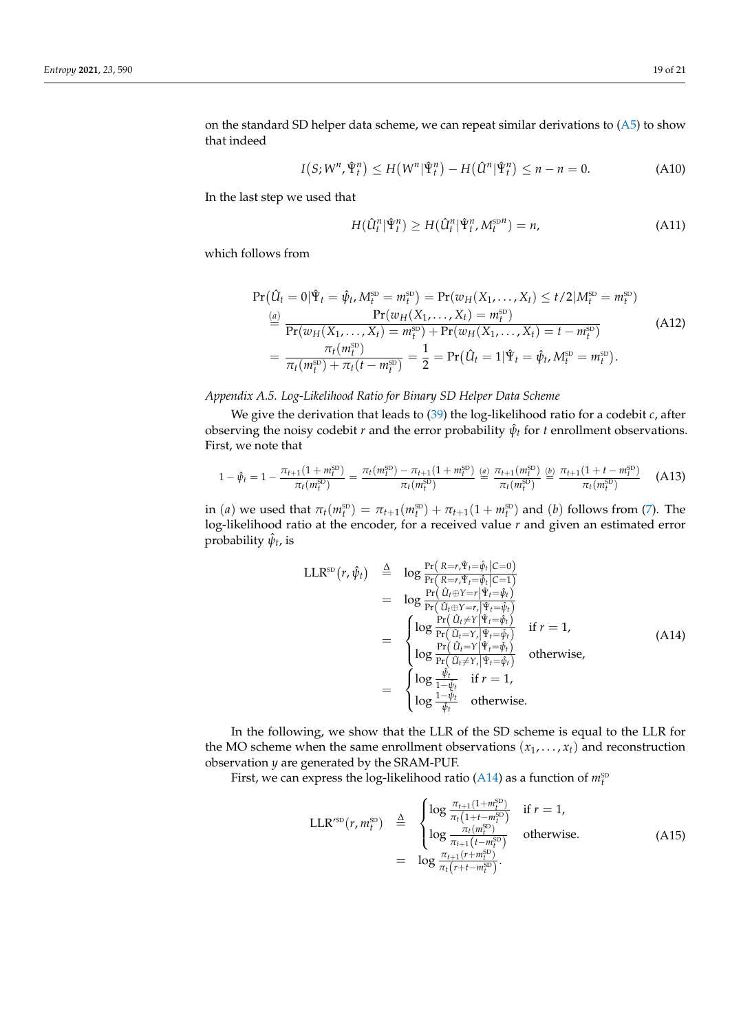on the standard SD helper data scheme, we can repeat similar derivations to  $(A5)$  to show that indeed

$$
I(S;W^n,\hat{\mathbf{Y}}_t^n) \le H(W^n|\hat{\mathbf{Y}}_t^n) - H(\hat{U}^n|\hat{\mathbf{Y}}_t^n) \le n - n = 0.
$$
 (A10)

In the last step we used that

$$
H(\hat{U}_t^n | \hat{\mathbf{Y}}_t^n) \ge H(\hat{U}_t^n | \hat{\mathbf{Y}}_t^n, M_t^{\text{SD}n}) = n,
$$
\n(A11)

which follows from

$$
\Pr(\hat{U}_t = 0 | \hat{\Psi}_t = \hat{\psi}_t, M_t^{\text{SD}} = m_t^{\text{SD}}) = \Pr(w_H(X_1, ..., X_t) \le t/2 | M_t^{\text{SD}} = m_t^{\text{SD}})
$$
\n
$$
\stackrel{(a)}{=} \frac{\Pr(w_H(X_1, ..., X_t) = m_t^{\text{SD}})}{\Pr(w_H(X_1, ..., X_t) = m_t^{\text{SD}}) + \Pr(w_H(X_1, ..., X_t) = t - m_t^{\text{SD}})}
$$
\n
$$
= \frac{\pi_t(m_t^{\text{SD}})}{\pi_t(m_t^{\text{SD}}) + \pi_t(t - m_t^{\text{SD}})} = \frac{1}{2} = \Pr(\hat{U}_t = 1 | \hat{\Psi}_t = \hat{\psi}_t, M_t^{\text{SD}} = m_t^{\text{SD}}).
$$
\n(A12)

# <span id="page-18-0"></span>*Appendix A.5. Log-Likelihood Ratio for Binary SD Helper Data Scheme*

We give the derivation that leads to [\(39\)](#page-13-1) the log-likelihood ratio for a codebit *c*, after observing the noisy codebit *r* and the error probability  $\hat{\psi}_t$  for *t* enrollment observations. First, we note that

$$
1 - \hat{\psi}_t = 1 - \frac{\pi_{t+1}(1 + m_t^{\text{SD}})}{\pi_t(m_t^{\text{SD}})} = \frac{\pi_t(m_t^{\text{SD}}) - \pi_{t+1}(1 + m_t^{\text{SD}})}{\pi_t(m_t^{\text{SD}})} \stackrel{(a)}{=} \frac{\pi_{t+1}(m_t^{\text{SD}})}{\pi_t(m_t^{\text{SD}})} \stackrel{(b)}{=} \frac{\pi_{t+1}(1 + t - m_t^{\text{SD}})}{\pi_t(m_t^{\text{SD}})} \tag{A13}
$$

in (*a*) we used that  $\pi_t(m_t^{\text{SD}}) = \pi_{t+1}(m_t^{\text{SD}}) + \pi_{t+1}(1 + m_t^{\text{SD}})$  and (*b*) follows from [\(7\)](#page-3-2). The log-likelihood ratio at the encoder, for a received value *r* and given an estimated error probability  $\hat{\psi}_t$ , is

<span id="page-18-1"></span>
$$
LLR^{\rm SD}(r, \hat{\psi}_t) \stackrel{\Delta}{=} \log \frac{\Pr(R=r, \hat{\Psi}_t = \hat{\psi}_t | C=0)}{\Pr(R=r, \hat{\Psi}_t = \hat{\psi}_t | C=1)} \n= \log \frac{\Pr(\hat{U}_t \oplus Y=r | \hat{\Psi}_t = \hat{\psi}_t)}{\Pr(\hat{U}_t \oplus Y=r | \hat{\Psi}_t = \hat{\psi}_t)} \n= \begin{cases}\n\log \frac{\Pr(\hat{U}_t \neq Y | \hat{\Psi}_t = \hat{\psi}_t)}{\Pr(\hat{U}_t = Y | \hat{\Psi}_t = \hat{\psi}_t)} & \text{if } r = 1, \\
\log \frac{\Pr(\hat{U}_t = Y | \hat{\Psi}_t = \hat{\psi}_t)}{\Pr(\hat{U}_t = Y | \hat{\Psi}_t = \hat{\psi}_t)} & \text{otherwise,} \\
\log \frac{\hat{\psi}_t}{\Pr(\hat{U}_t \neq Y | \hat{\Psi}_t = \hat{\psi}_t)} & \text{otherwise,} \\
\log \frac{1-\hat{\psi}_t}{\hat{\psi}_t} & \text{otherwise.}\n\end{cases}
$$
\n(A14)

In the following, we show that the LLR of the SD scheme is equal to the LLR for the MO scheme when the same enrollment observations  $(x_1, \ldots, x_t)$  and reconstruction observation *y* are generated by the SRAM-PUF.

First, we can express the log-likelihood ratio [\(A14\)](#page-18-1) as a function of  $m_t^{\rm \scriptscriptstyle SD}$ 

<span id="page-18-2"></span>
$$
\begin{array}{rcl}\n\text{LLR}^{\prime\text{SD}}(r, m_t^{\text{SD}}) & \triangleq & \begin{cases}\n\log \frac{\pi_{t+1}(1+m_t^{\text{SD}})}{\pi_t(1+t-m_t^{\text{SD}})} & \text{if } r=1, \\
\log \frac{\pi_t(m_t^{\text{SD}})}{\pi_{t+1}(t-m_t^{\text{SD}})} & \text{otherwise.} \\
\log \frac{\pi_{t+1}(r+m_t^{\text{SD}})}{\pi_t(r+t-m_t^{\text{SD}})} & \text{otherwise.}\n\end{cases}\n\end{array} \tag{A15}
$$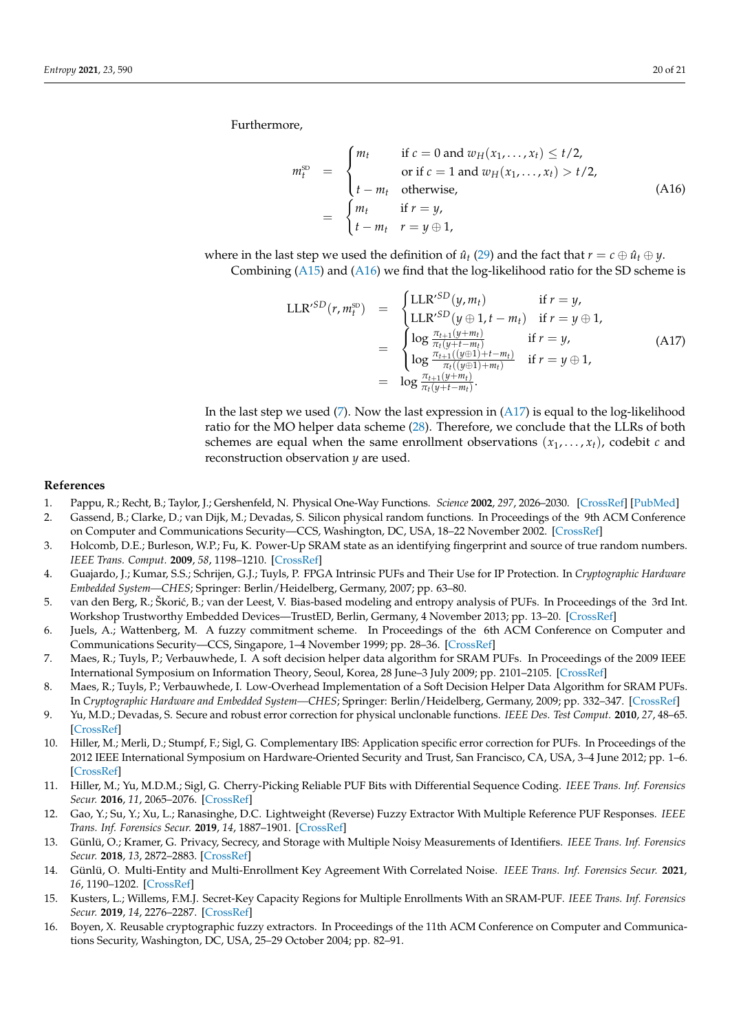Furthermore,

<span id="page-19-14"></span>
$$
m_t^{\text{SD}} = \begin{cases} m_t & \text{if } c = 0 \text{ and } w_H(x_1, \dots, x_t) \le t/2, \\ \text{or if } c = 1 \text{ and } w_H(x_1, \dots, x_t) > t/2, \\ t - m_t & \text{otherwise,} \end{cases} \tag{A16}
$$
\n
$$
= \begin{cases} m_t & \text{if } r = y, \\ t - m_t & r = y \oplus 1, \end{cases}
$$

where in the last step we used the definition of  $\hat{u}_t$  [\(29\)](#page-11-3) and the fact that  $r = c \oplus \hat{u}_t \oplus y$ .

Combining  $(A15)$  and  $(A16)$  we find that the log-likelihood ratio for the SD scheme is

<span id="page-19-15"></span>
$$
LLR'^{SD}(r, m_t^{SD}) = \begin{cases} LLR'^{SD}(y, m_t) & \text{if } r = y, \\ LLR'^{SD}(y \oplus 1, t - m_t) & \text{if } r = y \oplus 1, \\ \log \frac{\pi_{t+1}(y + m_t)}{\pi_t(y + t - m_t)} & \text{if } r = y, \\ \log \frac{\pi_{t+1}((y \oplus 1) + t - m_t)}{\pi_t((y \oplus 1) + m_t)} & \text{if } r = y \oplus 1, \\ = \log \frac{\pi_{t+1}(y + m_t)}{\pi_t(y + t - m_t)}. \end{cases}
$$
(A17)

In the last step we used  $(7)$ . Now the last expression in  $(A17)$  is equal to the log-likelihood ratio for the MO helper data scheme [\(28\)](#page-9-0). Therefore, we conclude that the LLRs of both schemes are equal when the same enrollment observations  $(x_1, \ldots, x_t)$ , codebit *c* and reconstruction observation *y* are used.

#### **References**

- <span id="page-19-0"></span>1. Pappu, R.; Recht, B.; Taylor, J.; Gershenfeld, N. Physical One-Way Functions. *Science* **2002**, *297*, 2026–2030. [\[CrossRef\]](http://doi.org/10.1126/science.1074376) [\[PubMed\]](http://www.ncbi.nlm.nih.gov/pubmed/12242435)
- <span id="page-19-1"></span>2. Gassend, B.; Clarke, D.; van Dijk, M.; Devadas, S. Silicon physical random functions. In Proceedings of the 9th ACM Conference on Computer and Communications Security—CCS, Washington, DC, USA, 18–22 November 2002. [\[CrossRef\]](http://dx.doi.org/10.1145/586110.586132)
- <span id="page-19-2"></span>3. Holcomb, D.E.; Burleson, W.P.; Fu, K. Power-Up SRAM state as an identifying fingerprint and source of true random numbers. *IEEE Trans. Comput.* **2009**, *58*, 1198–1210. [\[CrossRef\]](http://dx.doi.org/10.1109/TC.2008.212)
- <span id="page-19-3"></span>4. Guajardo, J.; Kumar, S.S.; Schrijen, G.J.; Tuyls, P. FPGA Intrinsic PUFs and Their Use for IP Protection. In *Cryptographic Hardware Embedded System—CHES*; Springer: Berlin/Heidelberg, Germany, 2007; pp. 63–80.
- <span id="page-19-4"></span>5. van den Berg, R.; Škorić, B.; van der Leest, V. Bias-based modeling and entropy analysis of PUFs. In Proceedings of the 3rd Int. Workshop Trustworthy Embedded Devices—TrustED, Berlin, Germany, 4 November 2013; pp. 13–20. [\[CrossRef\]](http://dx.doi.org/10.1145/2517300.2517301)
- <span id="page-19-5"></span>6. Juels, A.; Wattenberg, M. A fuzzy commitment scheme. In Proceedings of the 6th ACM Conference on Computer and Communications Security—CCS, Singapore, 1–4 November 1999; pp. 28–36. [\[CrossRef\]](http://dx.doi.org/10.1145/319709.319714)
- <span id="page-19-6"></span>7. Maes, R.; Tuyls, P.; Verbauwhede, I. A soft decision helper data algorithm for SRAM PUFs. In Proceedings of the 2009 IEEE International Symposium on Information Theory, Seoul, Korea, 28 June–3 July 2009; pp. 2101–2105. [\[CrossRef\]](http://dx.doi.org/10.1109/ISIT.2009.5205263)
- <span id="page-19-7"></span>8. Maes, R.; Tuyls, P.; Verbauwhede, I. Low-Overhead Implementation of a Soft Decision Helper Data Algorithm for SRAM PUFs. In *Cryptographic Hardware and Embedded System—CHES*; Springer: Berlin/Heidelberg, Germany, 2009; pp. 332–347. [\[CrossRef\]](http://dx.doi.org/10.1007/978-3-642-04138-9_24)
- <span id="page-19-8"></span>9. Yu, M.D.; Devadas, S. Secure and robust error correction for physical unclonable functions. *IEEE Des. Test Comput.* **2010**, *27*, 48–65. [\[CrossRef\]](http://dx.doi.org/10.1109/MDT.2010.25)
- 10. Hiller, M.; Merli, D.; Stumpf, F.; Sigl, G. Complementary IBS: Application specific error correction for PUFs. In Proceedings of the 2012 IEEE International Symposium on Hardware-Oriented Security and Trust, San Francisco, CA, USA, 3–4 June 2012; pp. 1–6. [\[CrossRef\]](http://dx.doi.org/10.1109/HST.2012.6224310)
- <span id="page-19-9"></span>11. Hiller, M.; Yu, M.D.M.; Sigl, G. Cherry-Picking Reliable PUF Bits with Differential Sequence Coding. *IEEE Trans. Inf. Forensics Secur.* **2016**, *11*, 2065–2076. [\[CrossRef\]](http://dx.doi.org/10.1109/TIFS.2016.2573766)
- <span id="page-19-10"></span>12. Gao, Y.; Su, Y.; Xu, L.; Ranasinghe, D.C. Lightweight (Reverse) Fuzzy Extractor With Multiple Reference PUF Responses. *IEEE Trans. Inf. Forensics Secur.* **2019**, *14*, 1887–1901. [\[CrossRef\]](http://dx.doi.org/10.1109/TIFS.2018.2886624)
- <span id="page-19-11"></span>13. Günlü, O.; Kramer, G. Privacy, Secrecy, and Storage with Multiple Noisy Measurements of Identifiers. *IEEE Trans. Inf. Forensics Secur.* **2018**, *13*, 2872–2883. [\[CrossRef\]](http://dx.doi.org/10.1109/TIFS.2018.2834303)
- 14. Günlü, O. Multi-Entity and Multi-Enrollment Key Agreement With Correlated Noise. *IEEE Trans. Inf. Forensics Secur.* **2021**, *16*, 1190–1202. [\[CrossRef\]](http://dx.doi.org/10.1109/TIFS.2020.3029885)
- <span id="page-19-12"></span>15. Kusters, L.; Willems, F.M.J. Secret-Key Capacity Regions for Multiple Enrollments With an SRAM-PUF. *IEEE Trans. Inf. Forensics Secur.* **2019**, *14*, 2276–2287. [\[CrossRef\]](http://dx.doi.org/10.1109/TIFS.2019.2895552)
- <span id="page-19-13"></span>16. Boyen, X. Reusable cryptographic fuzzy extractors. In Proceedings of the 11th ACM Conference on Computer and Communications Security, Washington, DC, USA, 25–29 October 2004; pp. 82–91.